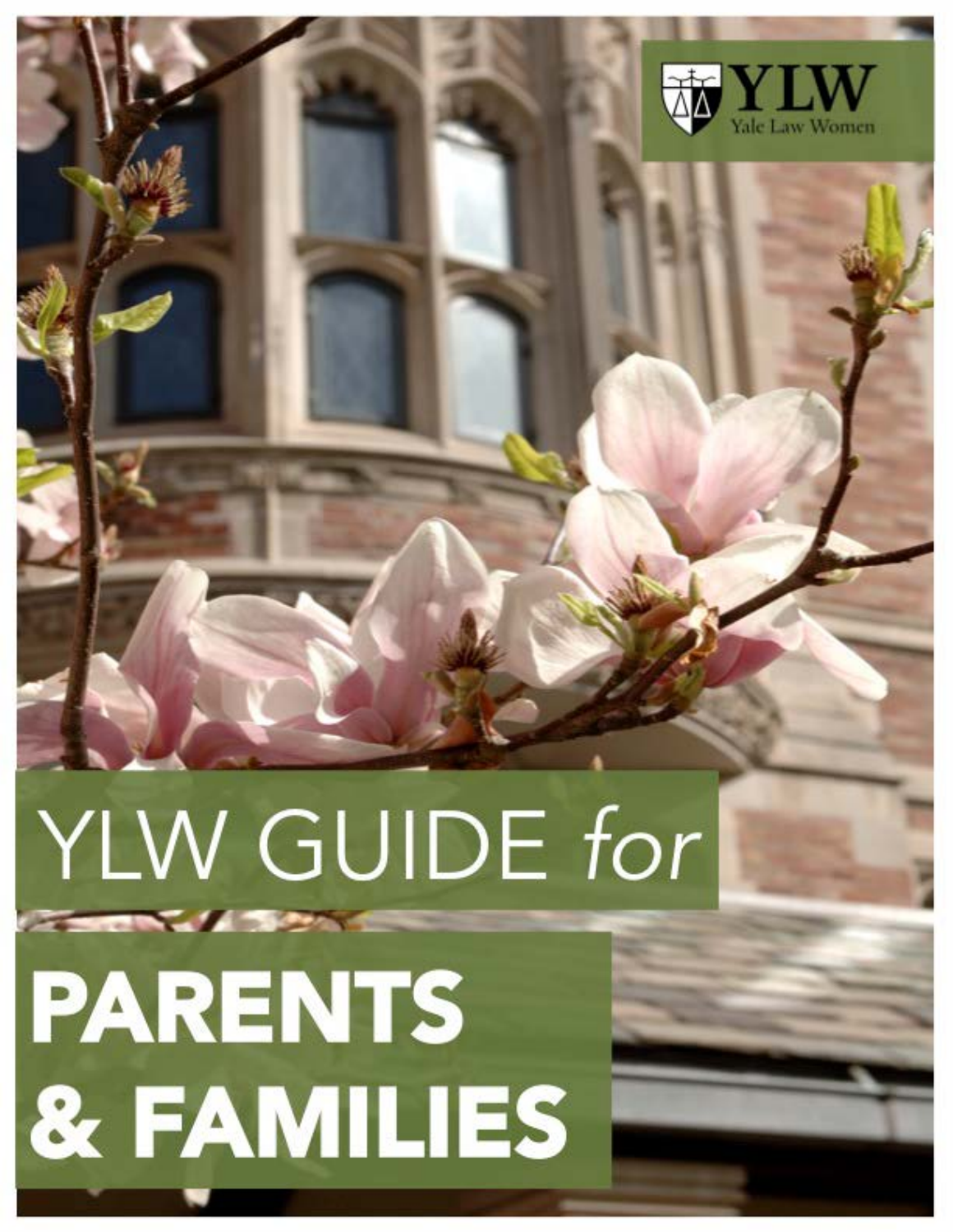

# YLW GUIDE for **PARENTS** & FAMILIES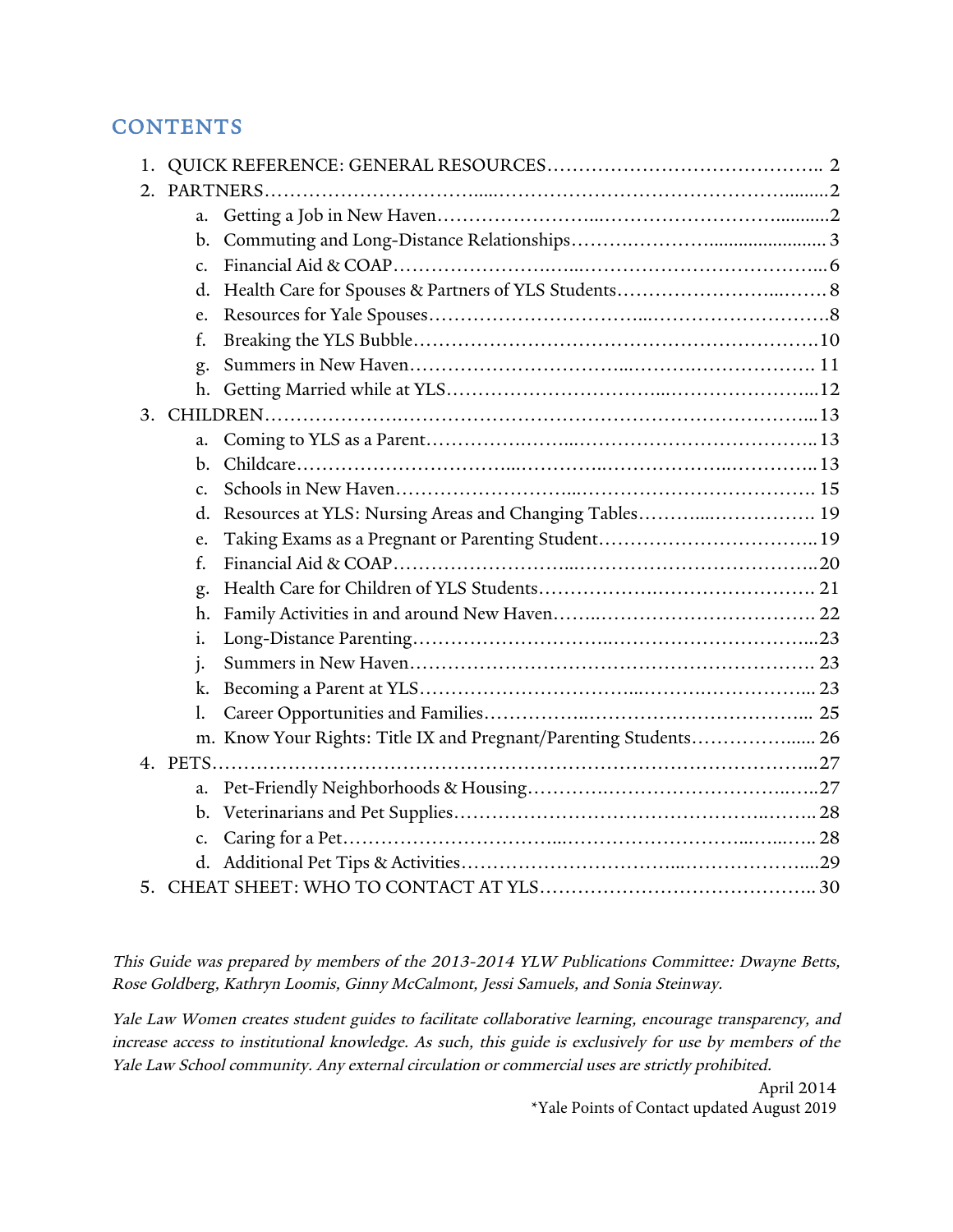## **CONTENTS**

| 1.      |                 |                                                                  |  |  |  |
|---------|-----------------|------------------------------------------------------------------|--|--|--|
| $2_{-}$ |                 |                                                                  |  |  |  |
|         | a.              |                                                                  |  |  |  |
|         | b.              |                                                                  |  |  |  |
|         | $\mathcal{C}$ . |                                                                  |  |  |  |
|         | d.              |                                                                  |  |  |  |
|         | e <sub>1</sub>  |                                                                  |  |  |  |
|         | f.              |                                                                  |  |  |  |
|         | g.              |                                                                  |  |  |  |
|         | h.              |                                                                  |  |  |  |
|         |                 |                                                                  |  |  |  |
|         | a.              |                                                                  |  |  |  |
|         | b.              |                                                                  |  |  |  |
|         | $\mathcal{C}$ . |                                                                  |  |  |  |
|         | d.              | Resources at YLS: Nursing Areas and Changing Tables 19           |  |  |  |
|         | e.              |                                                                  |  |  |  |
|         | $f_{\cdot}$     |                                                                  |  |  |  |
|         | g.              |                                                                  |  |  |  |
|         | h.              |                                                                  |  |  |  |
|         | i.              |                                                                  |  |  |  |
|         | j.              |                                                                  |  |  |  |
|         | k.              |                                                                  |  |  |  |
|         | 1.              |                                                                  |  |  |  |
|         |                 | m. Know Your Rights: Title IX and Pregnant/Parenting Students 26 |  |  |  |
|         |                 |                                                                  |  |  |  |
|         | a.              |                                                                  |  |  |  |
|         | $\mathbf{b}$ .  |                                                                  |  |  |  |
|         | c.              |                                                                  |  |  |  |
|         |                 |                                                                  |  |  |  |
| 5.      |                 |                                                                  |  |  |  |

This Guide was prepared by members of the 2013-2014 YLW Publications Committee: Dwayne Betts, Rose Goldberg, Kathryn Loomis, Ginny McCalmont, Jessi Samuels, and Sonia Steinway.

Yale Law Women creates student guides to facilitate collaborative learning, encourage transparency, and increase access to institutional knowledge. As such, this guide is exclusively for use by members of the Yale Law School community. Any external circulation or commercial uses are strictly prohibited.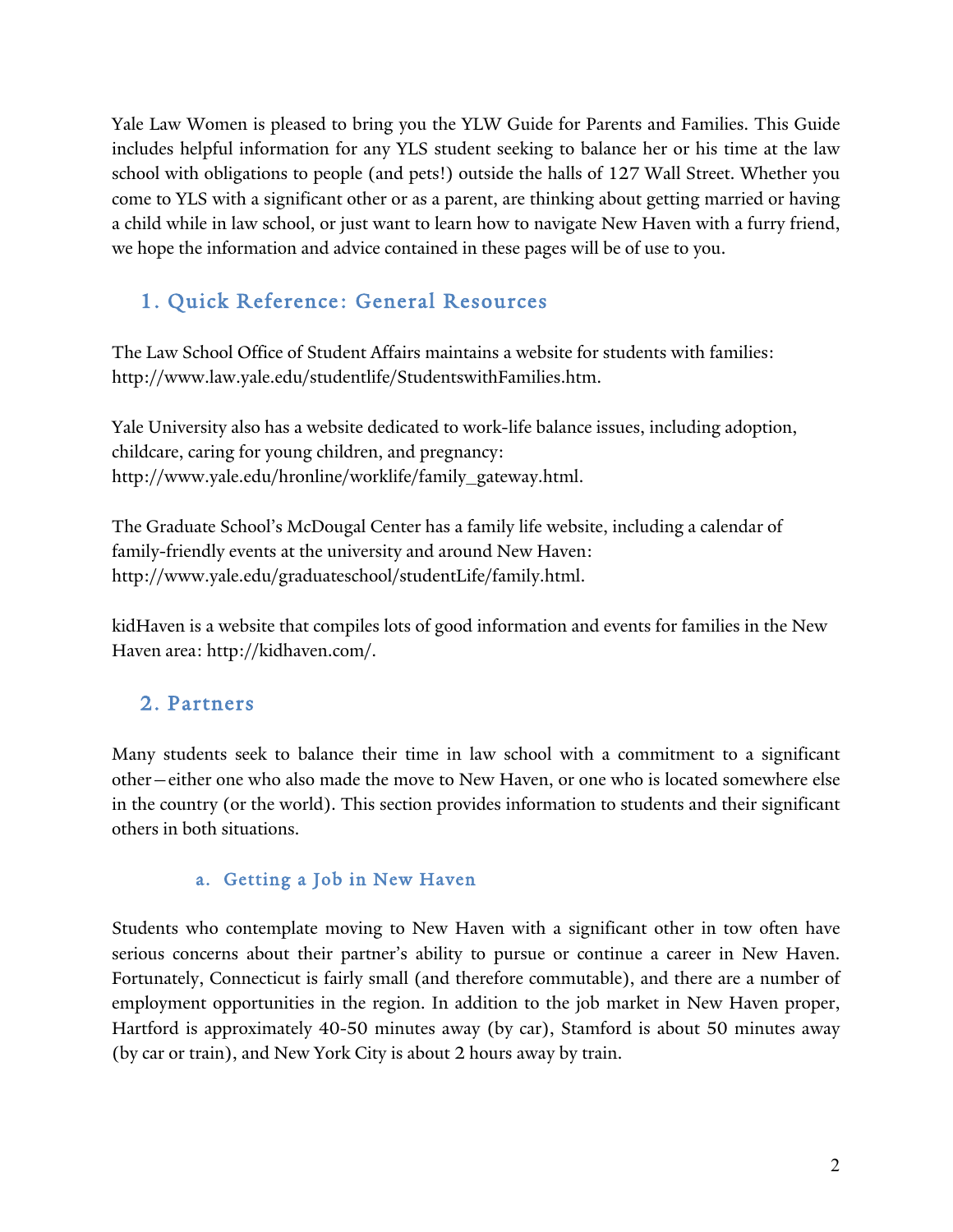Yale Law Women is pleased to bring you the YLW Guide for Parents and Families. This Guide includes helpful information for any YLS student seeking to balance her or his time at the law school with obligations to people (and pets!) outside the halls of 127 Wall Street. Whether you come to YLS with a significant other or as a parent, are thinking about getting married or having a child while in law school, or just want to learn how to navigate New Haven with a furry friend, we hope the information and advice contained in these pages will be of use to you.

## 1. Quick Reference: General Resources

The Law School Office of Student Affairs maintains a website for students with families: http://www.law.yale.edu/studentlife/StudentswithFamilies.htm.

Yale University also has a website dedicated to work-life balance issues, including adoption, childcare, caring for young children, and pregnancy: http://www.yale.edu/hronline/worklife/family\_gateway.html.

The Graduate School's McDougal Center has a family life website, including a calendar of family-friendly events at the university and around New Haven: http://www.yale.edu/graduateschool/studentLife/family.html.

kidHaven is a website that compiles lots of good information and events for families in the New Haven area: http://kidhaven.com/.

## 2. Partners

Many students seek to balance their time in law school with a commitment to a significant other—either one who also made the move to New Haven, or one who is located somewhere else in the country (or the world). This section provides information to students and their significant others in both situations.

#### a. Getting a Job in New Haven

Students who contemplate moving to New Haven with a significant other in tow often have serious concerns about their partner's ability to pursue or continue a career in New Haven. Fortunately, Connecticut is fairly small (and therefore commutable), and there are a number of employment opportunities in the region. In addition to the job market in New Haven proper, Hartford is approximately 40-50 minutes away (by car), Stamford is about 50 minutes away (by car or train), and New York City is about 2 hours away by train.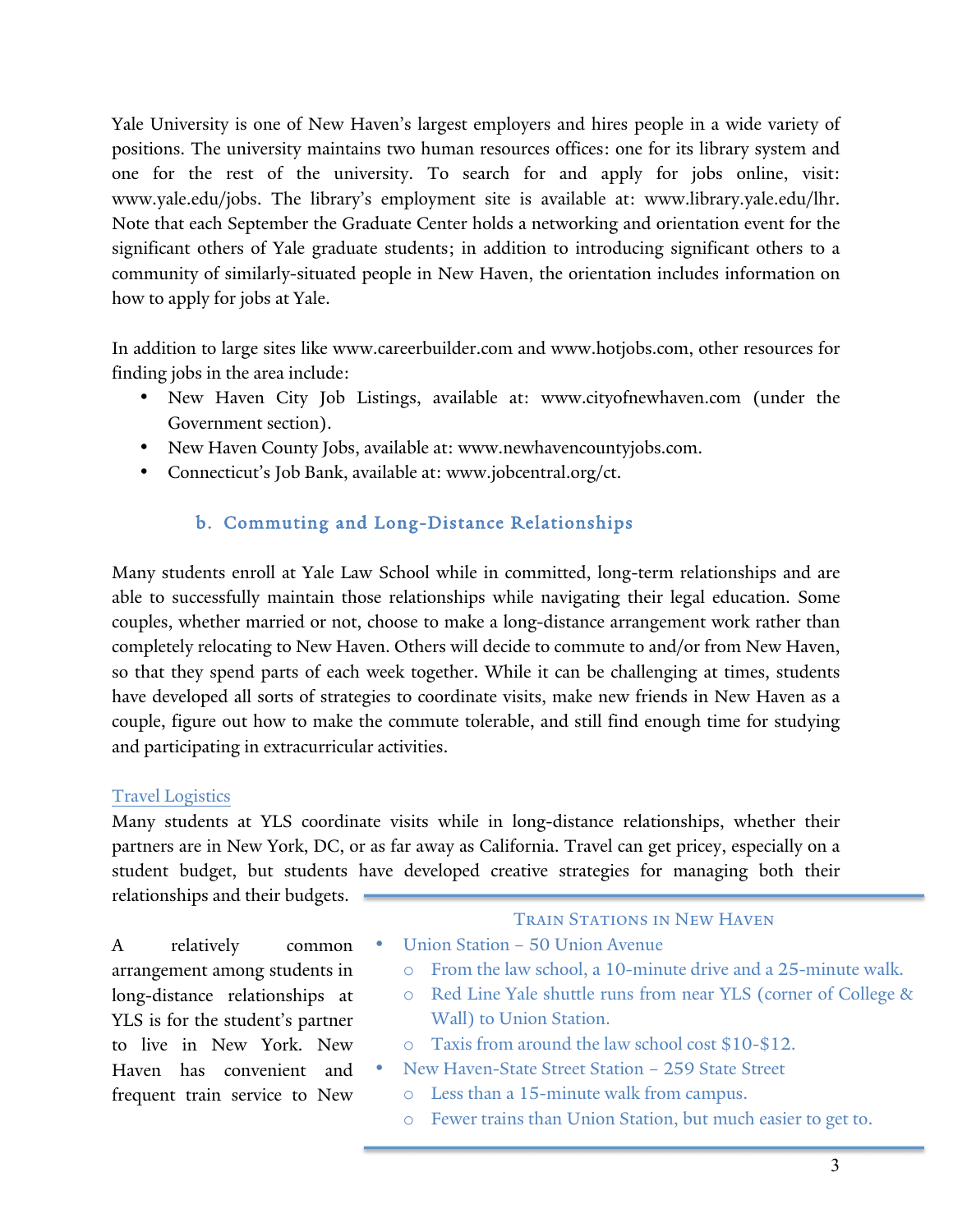Yale University is one of New Haven's largest employers and hires people in a wide variety of positions. The university maintains two human resources offices: one for its library system and one for the rest of the university. To search for and apply for jobs online, visit: www.yale.edu/jobs. The library's employment site is available at: www.library.yale.edu/lhr. Note that each September the Graduate Center holds a networking and orientation event for the significant others of Yale graduate students; in addition to introducing significant others to a community of similarly-situated people in New Haven, the orientation includes information on how to apply for jobs at Yale.

In addition to large sites like www.careerbuilder.com and www.hotjobs.com, other resources for finding jobs in the area include:

- New Haven City Job Listings, available at: www.cityofnewhaven.com (under the Government section).
- New Haven County Jobs, available at: www.newhavencountyjobs.com.
- Connecticut's Job Bank, available at: www.jobcentral.org/ct.

## b. Commuting and Long-Distance Relationships

Many students enroll at Yale Law School while in committed, long-term relationships and are able to successfully maintain those relationships while navigating their legal education. Some couples, whether married or not, choose to make a long-distance arrangement work rather than completely relocating to New Haven. Others will decide to commute to and/or from New Haven, so that they spend parts of each week together. While it can be challenging at times, students have developed all sorts of strategies to coordinate visits, make new friends in New Haven as a couple, figure out how to make the commute tolerable, and still find enough time for studying and participating in extracurricular activities.

#### Travel Logistics

Many students at YLS coordinate visits while in long-distance relationships, whether their partners are in New York, DC, or as far away as California. Travel can get pricey, especially on a student budget, but students have developed creative strategies for managing both their relationships and their budgets.

A relatively common arrangement among students in long-distance relationships at YLS is for the student's partner to live in New York. New Haven has convenient and frequent train service to New

#### **TRAIN STATIONS IN NEW HAVEN**

- Union Station 50 Union Avenue
	- o From the law school, a 10-minute drive and a 25-minute walk.
	- o Red Line Yale shuttle runs from near YLS (corner of College & Wall) to Union Station.
- o Taxis from around the law school cost \$10-\$12.
- New Haven-State Street Station 259 State Street
	- o Less than a 15-minute walk from campus.
	- o Fewer trains than Union Station, but much easier to get to.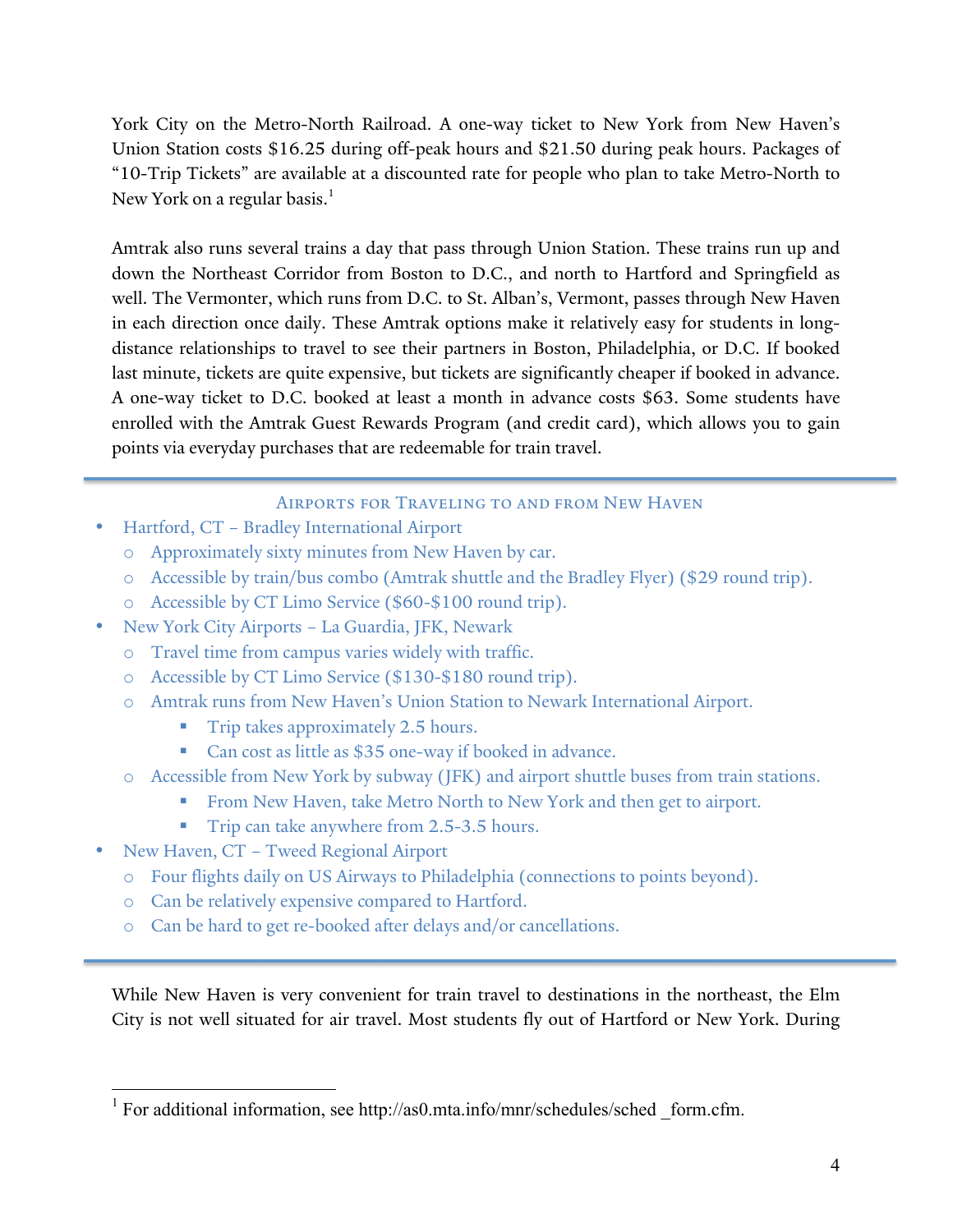York City on the Metro-North Railroad. A one-way ticket to New York from New Haven's Union Station costs \$16.25 during off-peak hours and \$21.50 during peak hours. Packages of "10-Trip Tickets" are available at a discounted rate for people who plan to take Metro-North to New York on a regular basis.<sup>1</sup>

Amtrak also runs several trains a day that pass through Union Station. These trains run up and down the Northeast Corridor from Boston to D.C., and north to Hartford and Springfield as well. The Vermonter, which runs from D.C. to St. Alban's, Vermont, passes through New Haven in each direction once daily. These Amtrak options make it relatively easy for students in longdistance relationships to travel to see their partners in Boston, Philadelphia, or D.C. If booked last minute, tickets are quite expensive, but tickets are significantly cheaper if booked in advance. A one-way ticket to D.C. booked at least a month in advance costs \$63. Some students have enrolled with the Amtrak Guest Rewards Program (and credit card), which allows you to gain points via everyday purchases that are redeemable for train travel.

#### Airports for Traveling to and from New Haven

- Hartford, CT Bradley International Airport
	- o Approximately sixty minutes from New Haven by car.
	- o Accessible by train/bus combo (Amtrak shuttle and the Bradley Flyer) (\$29 round trip).
	- o Accessible by CT Limo Service (\$60-\$100 round trip).
- New York City Airports La Guardia, JFK, Newark
	- o Travel time from campus varies widely with traffic.
	- o Accessible by CT Limo Service (\$130-\$180 round trip).
	- o Amtrak runs from New Haven's Union Station to Newark International Airport.
		- **Trip takes approximately 2.5 hours.**
		- ! Can cost as little as \$35 one-way if booked in advance.
	- o Accessible from New York by subway (JFK) and airport shuttle buses from train stations.
		- ! From New Haven, take Metro North to New York and then get to airport.
		- **Trip can take anywhere from 2.5-3.5 hours.**
- New Haven, CT Tweed Regional Airport
	- o Four flights daily on US Airways to Philadelphia (connections to points beyond).
	- o Can be relatively expensive compared to Hartford.
	- o Can be hard to get re-booked after delays and/or cancellations.

While New Haven is very convenient for train travel to destinations in the northeast, the Elm City is not well situated for air travel. Most students fly out of Hartford or New York. During

<sup>&</sup>lt;sup>1</sup> For additional information, see http://as0.mta.info/mnr/schedules/sched form.cfm.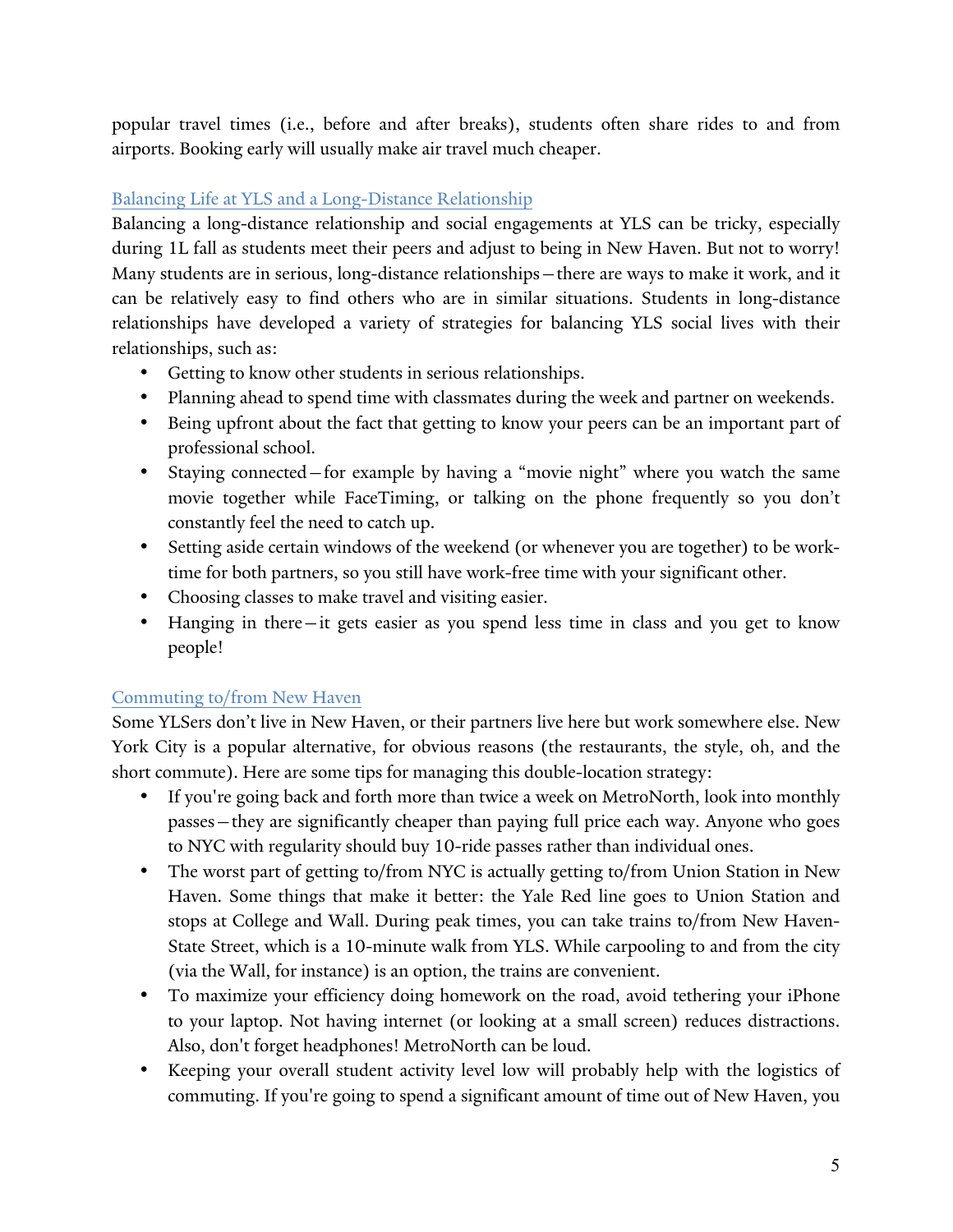popular travel times (i.e., before and after breaks), students often share rides to and from airports. Booking early will usually make air travel much cheaper.

#### Balancing Life at YLS and a Long-Distance Relationship

Balancing a long-distance relationship and social engagements at YLS can be tricky, especially during 1L fall as students meet their peers and adjust to being in New Haven. But not to worry! Many students are in serious, long-distance relationships—there are ways to make it work, and it can be relatively easy to find others who are in similar situations. Students in long-distance relationships have developed a variety of strategies for balancing YLS social lives with their relationships, such as:

- Getting to know other students in serious relationships.
- Planning ahead to spend time with classmates during the week and partner on weekends.
- Being upfront about the fact that getting to know your peers can be an important part of professional school.
- Staying connected—for example by having a "movie night" where you watch the same movie together while FaceTiming, or talking on the phone frequently so you don't constantly feel the need to catch up.
- Setting aside certain windows of the weekend (or whenever you are together) to be worktime for both partners, so you still have work-free time with your significant other.
- Choosing classes to make travel and visiting easier.
- Hanging in there—it gets easier as you spend less time in class and you get to know people!

#### Commuting to/from New Haven

Some YLSers don't live in New Haven, or their partners live here but work somewhere else. New York City is a popular alternative, for obvious reasons (the restaurants, the style, oh, and the short commute). Here are some tips for managing this double-location strategy:

- If you're going back and forth more than twice a week on MetroNorth, look into monthly passes—they are significantly cheaper than paying full price each way. Anyone who goes to NYC with regularity should buy 10-ride passes rather than individual ones.
- The worst part of getting to/from NYC is actually getting to/from Union Station in New Haven. Some things that make it better: the Yale Red line goes to Union Station and stops at College and Wall. During peak times, you can take trains to/from New Haven-State Street, which is a 10-minute walk from YLS. While carpooling to and from the city (via the Wall, for instance) is an option, the trains are convenient.
- To maximize your efficiency doing homework on the road, avoid tethering your iPhone to your laptop. Not having internet (or looking at a small screen) reduces distractions. Also, don't forget headphones! MetroNorth can be loud.
- Keeping your overall student activity level low will probably help with the logistics of commuting. If you're going to spend a significant amount of time out of New Haven, you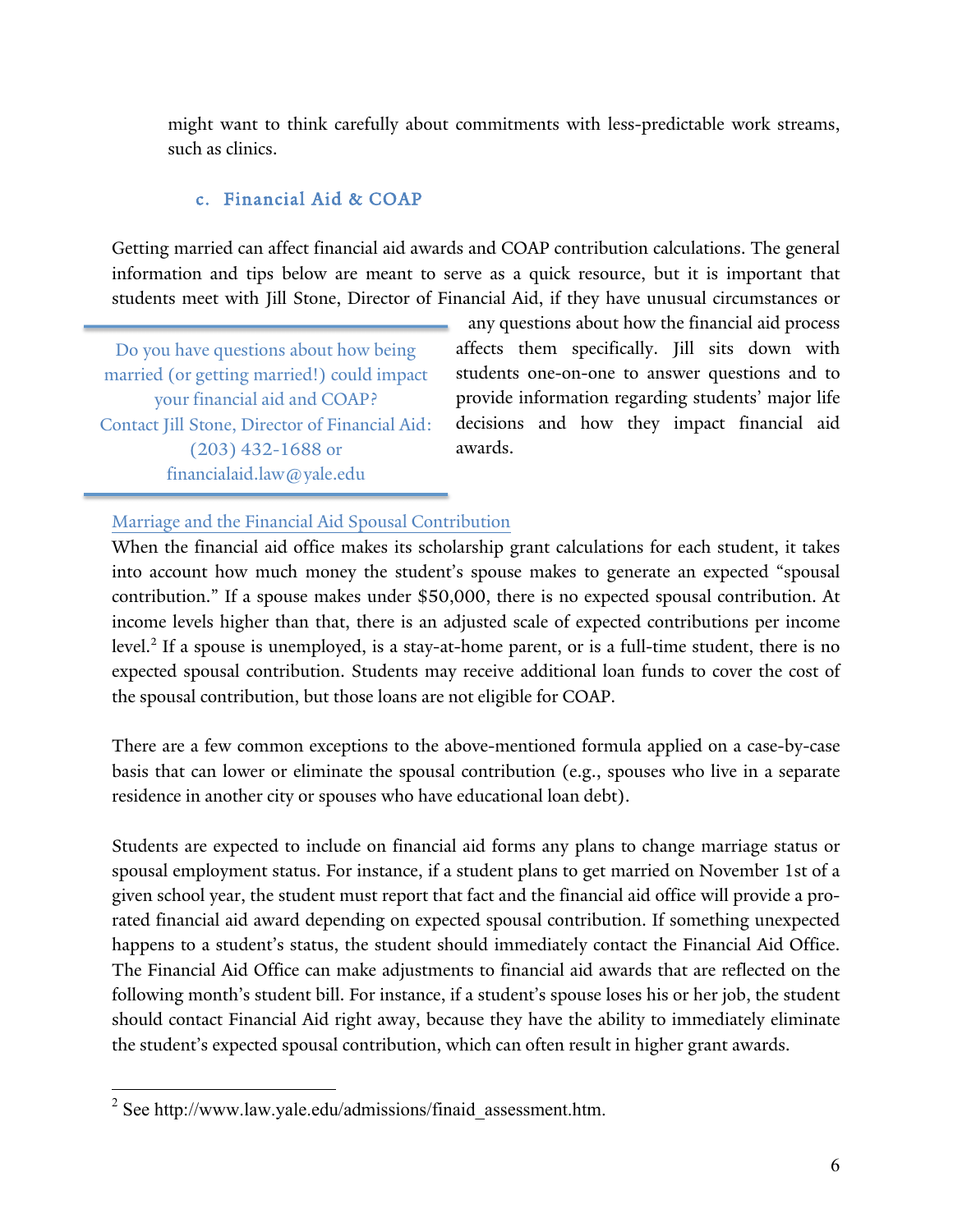might want to think carefully about commitments with less-predictable work streams, such as clinics.

#### c. Financial Aid & COAP

Getting married can affect financial aid awards and COAP contribution calculations. The general information and tips below are meant to serve as a quick resource, but it is important that students meet with Jill Stone, Director of Financial Aid, if they have unusual circumstances or

Do you have questions about how being married (or getting married!) could impact your financial aid and COAP? Contact Jill Stone, Director of Financial Aid: (203) 432-1688 or financialaid.law@yale.edu

any questions about how the financial aid process affects them specifically. Jill sits down with students one-on-one to answer questions and to provide information regarding students' major life decisions and how they impact financial aid awards.

#### Marriage and the Financial Aid Spousal Contribution

When the financial aid office makes its scholarship grant calculations for each student, it takes into account how much money the student's spouse makes to generate an expected "spousal contribution." If a spouse makes under \$50,000, there is no expected spousal contribution. At income levels higher than that, there is an adjusted scale of expected contributions per income level.<sup>2</sup> If a spouse is unemployed, is a stay-at-home parent, or is a full-time student, there is no expected spousal contribution. Students may receive additional loan funds to cover the cost of the spousal contribution, but those loans are not eligible for COAP.

There are a few common exceptions to the above-mentioned formula applied on a case-by-case basis that can lower or eliminate the spousal contribution (e.g., spouses who live in a separate residence in another city or spouses who have educational loan debt).

Students are expected to include on financial aid forms any plans to change marriage status or spousal employment status. For instance, if a student plans to get married on November 1st of a given school year, the student must report that fact and the financial aid office will provide a prorated financial aid award depending on expected spousal contribution. If something unexpected happens to a student's status, the student should immediately contact the Financial Aid Office. The Financial Aid Office can make adjustments to financial aid awards that are reflected on the following month's student bill. For instance, if a student's spouse loses his or her job, the student should contact Financial Aid right away, because they have the ability to immediately eliminate the student's expected spousal contribution, which can often result in higher grant awards.

 $2$  See http://www.law.yale.edu/admissions/finaid\_assessment.htm.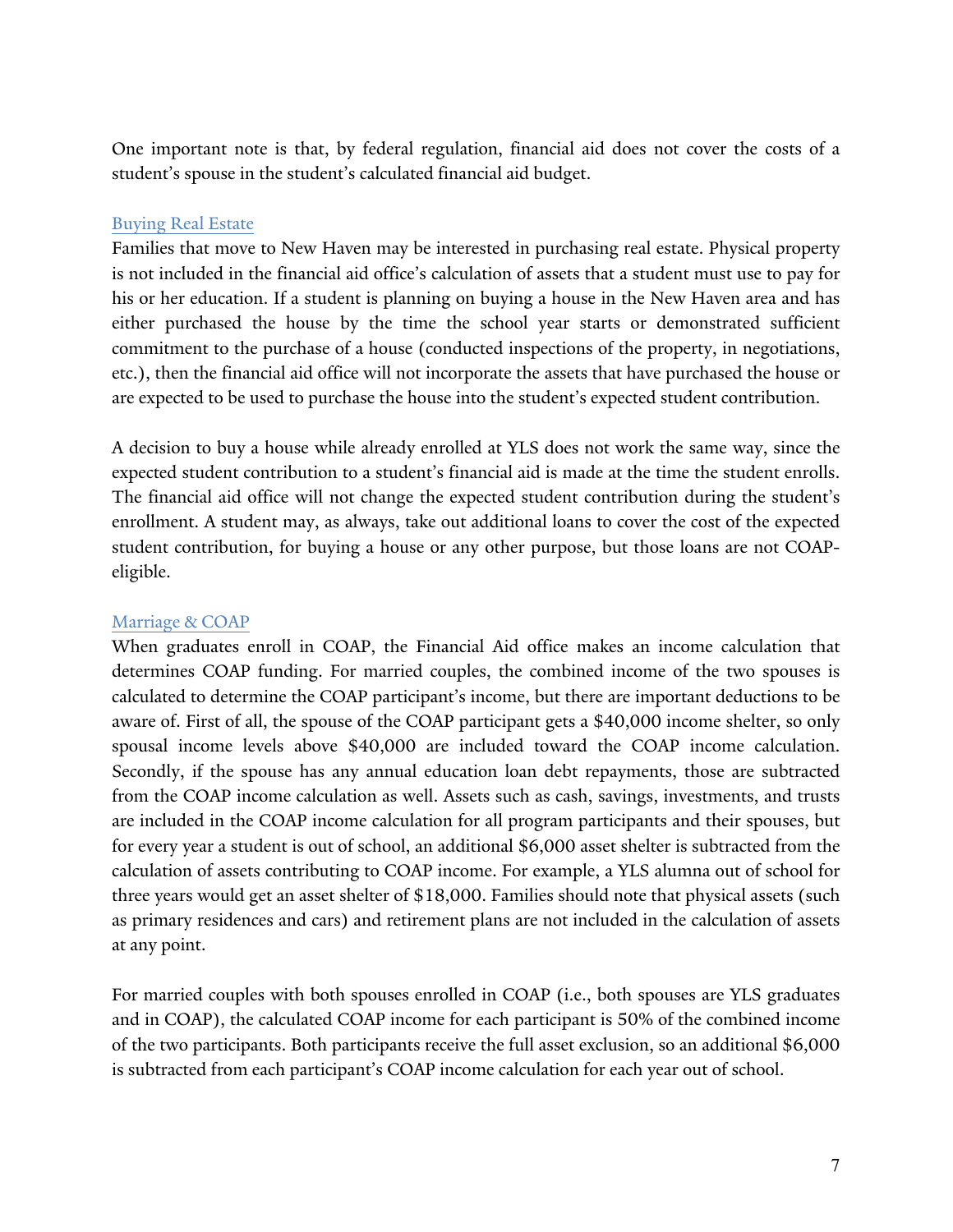One important note is that, by federal regulation, financial aid does not cover the costs of a student's spouse in the student's calculated financial aid budget.

#### Buying Real Estate

Families that move to New Haven may be interested in purchasing real estate. Physical property is not included in the financial aid office's calculation of assets that a student must use to pay for his or her education. If a student is planning on buying a house in the New Haven area and has either purchased the house by the time the school year starts or demonstrated sufficient commitment to the purchase of a house (conducted inspections of the property, in negotiations, etc.), then the financial aid office will not incorporate the assets that have purchased the house or are expected to be used to purchase the house into the student's expected student contribution.

A decision to buy a house while already enrolled at YLS does not work the same way, since the expected student contribution to a student's financial aid is made at the time the student enrolls. The financial aid office will not change the expected student contribution during the student's enrollment. A student may, as always, take out additional loans to cover the cost of the expected student contribution, for buying a house or any other purpose, but those loans are not COAPeligible.

#### Marriage & COAP

When graduates enroll in COAP, the Financial Aid office makes an income calculation that determines COAP funding. For married couples, the combined income of the two spouses is calculated to determine the COAP participant's income, but there are important deductions to be aware of. First of all, the spouse of the COAP participant gets a \$40,000 income shelter, so only spousal income levels above \$40,000 are included toward the COAP income calculation. Secondly, if the spouse has any annual education loan debt repayments, those are subtracted from the COAP income calculation as well. Assets such as cash, savings, investments, and trusts are included in the COAP income calculation for all program participants and their spouses, but for every year a student is out of school, an additional \$6,000 asset shelter is subtracted from the calculation of assets contributing to COAP income. For example, a YLS alumna out of school for three years would get an asset shelter of \$18,000. Families should note that physical assets (such as primary residences and cars) and retirement plans are not included in the calculation of assets at any point.

For married couples with both spouses enrolled in COAP (i.e., both spouses are YLS graduates and in COAP), the calculated COAP income for each participant is 50% of the combined income of the two participants. Both participants receive the full asset exclusion, so an additional \$6,000 is subtracted from each participant's COAP income calculation for each year out of school.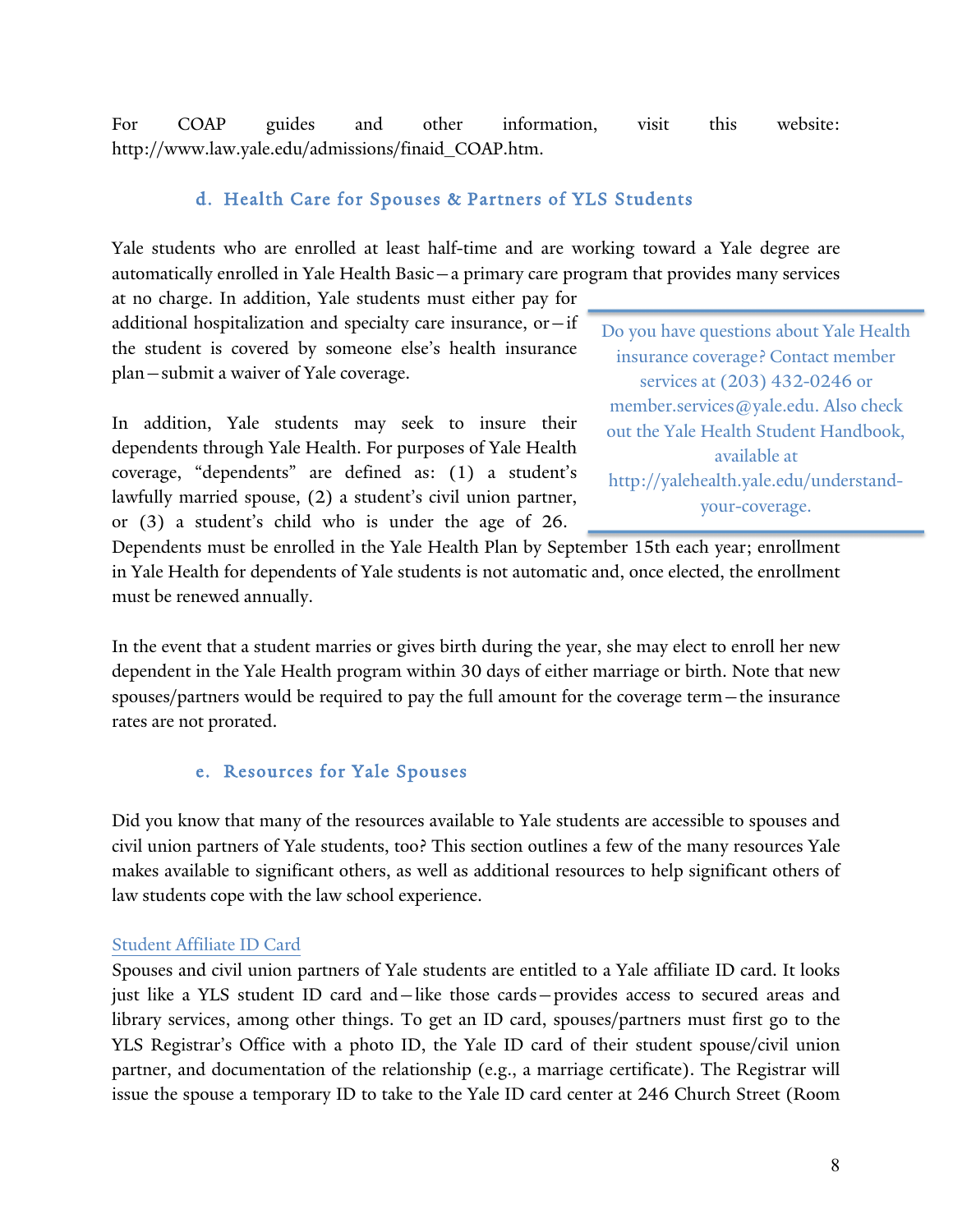For COAP guides and other information, visit this website: http://www.law.yale.edu/admissions/finaid\_COAP.htm.

#### d. Health Care for Spouses & Partners of YLS Students

Yale students who are enrolled at least half-time and are working toward a Yale degree are automatically enrolled in Yale Health Basic—a primary care program that provides many services

at no charge. In addition, Yale students must either pay for additional hospitalization and specialty care insurance, or  $-$  if the student is covered by someone else's health insurance plan—submit a waiver of Yale coverage.

In addition, Yale students may seek to insure their dependents through Yale Health. For purposes of Yale Health coverage, "dependents" are defined as: (1) a student's lawfully married spouse, (2) a student's civil union partner, or (3) a student's child who is under the age of 26.

Do you have questions about Yale Health insurance coverage? Contact member services at (203) 432-0246 or member.services@yale.edu. Also check out the Yale Health Student Handbook, available at http://yalehealth.yale.edu/understandyour-coverage.

Dependents must be enrolled in the Yale Health Plan by September 15th each year; enrollment in Yale Health for dependents of Yale students is not automatic and, once elected, the enrollment must be renewed annually.

In the event that a student marries or gives birth during the year, she may elect to enroll her new dependent in the Yale Health program within 30 days of either marriage or birth. Note that new spouses/partners would be required to pay the full amount for the coverage term—the insurance rates are not prorated.

#### e. Resources for Yale Spouses

Did you know that many of the resources available to Yale students are accessible to spouses and civil union partners of Yale students, too? This section outlines a few of the many resources Yale makes available to significant others, as well as additional resources to help significant others of law students cope with the law school experience.

#### Student Affiliate ID Card

Spouses and civil union partners of Yale students are entitled to a Yale affiliate ID card. It looks just like a YLS student ID card and—like those cards—provides access to secured areas and library services, among other things. To get an ID card, spouses/partners must first go to the YLS Registrar's Office with a photo ID, the Yale ID card of their student spouse/civil union partner, and documentation of the relationship (e.g., a marriage certificate). The Registrar will issue the spouse a temporary ID to take to the Yale ID card center at 246 Church Street (Room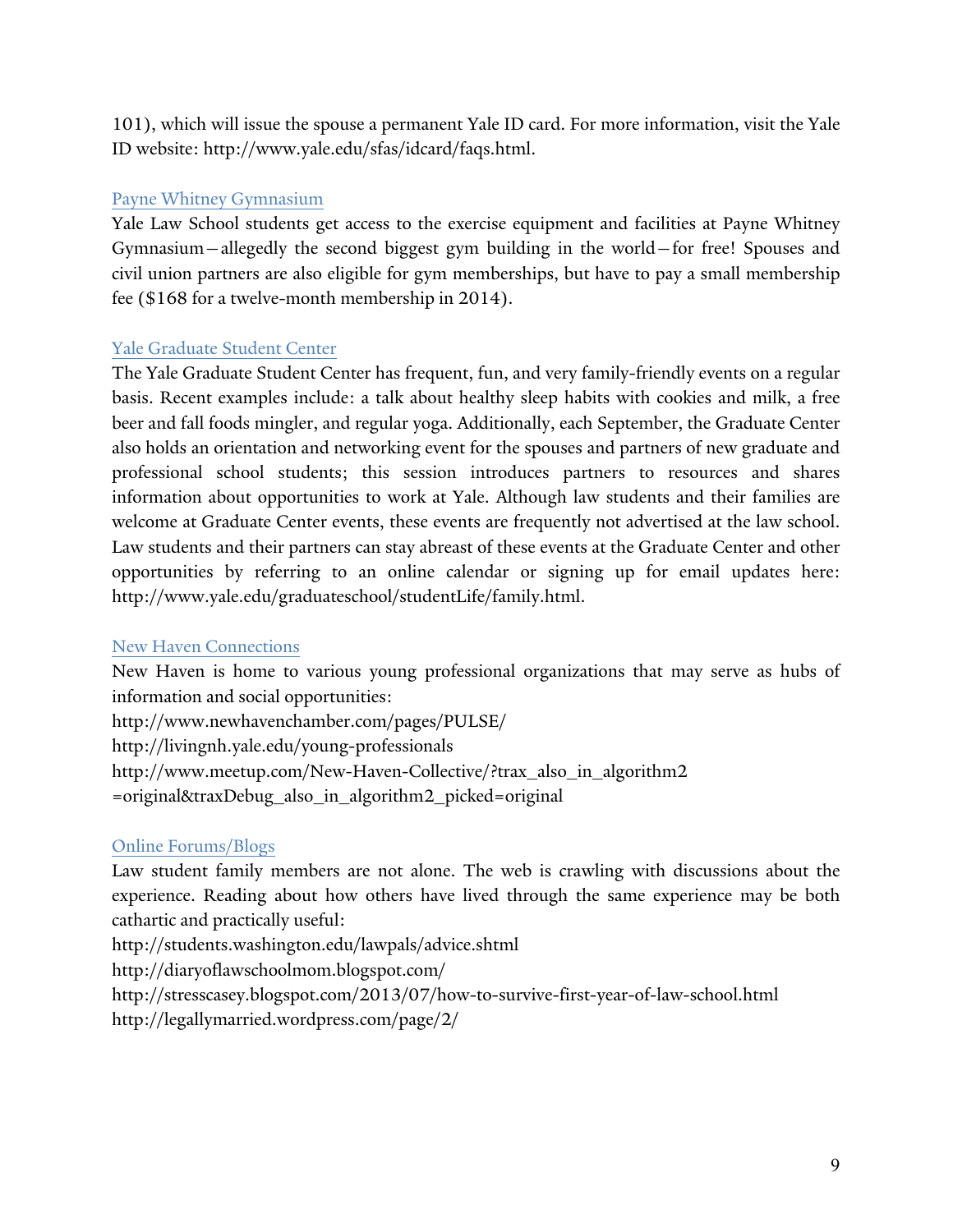101), which will issue the spouse a permanent Yale ID card. For more information, visit the Yale ID website: http://www.yale.edu/sfas/idcard/faqs.html.

#### Payne Whitney Gymnasium

Yale Law School students get access to the exercise equipment and facilities at Payne Whitney Gymnasium—allegedly the second biggest gym building in the world—for free! Spouses and civil union partners are also eligible for gym memberships, but have to pay a small membership fee (\$168 for a twelve-month membership in 2014).

#### Yale Graduate Student Center

The Yale Graduate Student Center has frequent, fun, and very family-friendly events on a regular basis. Recent examples include: a talk about healthy sleep habits with cookies and milk, a free beer and fall foods mingler, and regular yoga. Additionally, each September, the Graduate Center also holds an orientation and networking event for the spouses and partners of new graduate and professional school students; this session introduces partners to resources and shares information about opportunities to work at Yale. Although law students and their families are welcome at Graduate Center events, these events are frequently not advertised at the law school. Law students and their partners can stay abreast of these events at the Graduate Center and other opportunities by referring to an online calendar or signing up for email updates here: http://www.yale.edu/graduateschool/studentLife/family.html.

#### New Haven Connections

New Haven is home to various young professional organizations that may serve as hubs of information and social opportunities:

http://www.newhavenchamber.com/pages/PULSE/ http://livingnh.yale.edu/young-professionals http://www.meetup.com/New-Haven-Collective/?trax\_also\_in\_algorithm2 =original&traxDebug\_also\_in\_algorithm2\_picked=original

#### Online Forums/Blogs

Law student family members are not alone. The web is crawling with discussions about the experience. Reading about how others have lived through the same experience may be both cathartic and practically useful:

http://students.washington.edu/lawpals/advice.shtml http://diaryoflawschoolmom.blogspot.com/

http://stresscasey.blogspot.com/2013/07/how-to-survive-first-year-of-law-school.html http://legallymarried.wordpress.com/page/2/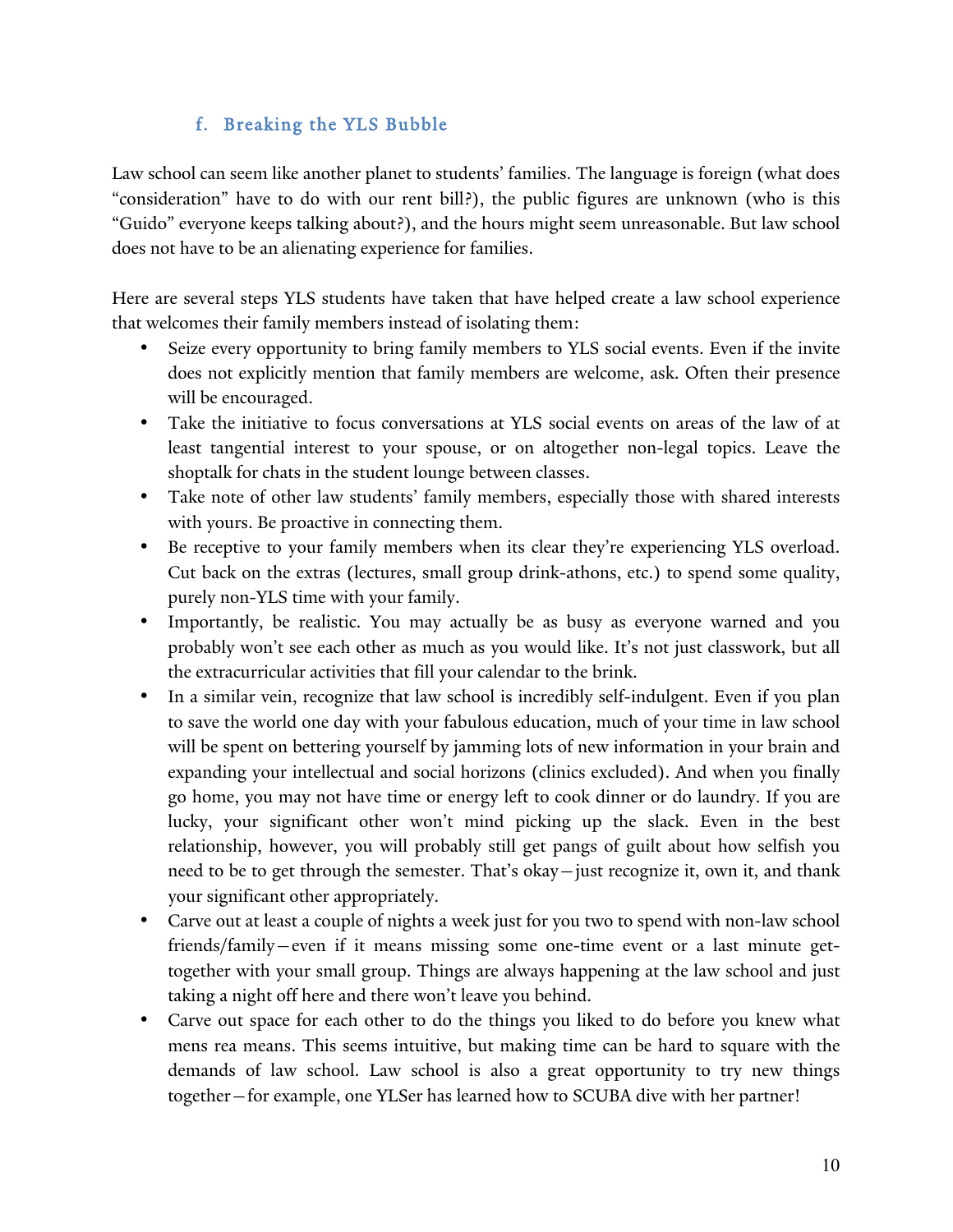## f. Breaking the YLS Bubble

Law school can seem like another planet to students' families. The language is foreign (what does "consideration" have to do with our rent bill?), the public figures are unknown (who is this "Guido" everyone keeps talking about?), and the hours might seem unreasonable. But law school does not have to be an alienating experience for families.

Here are several steps YLS students have taken that have helped create a law school experience that welcomes their family members instead of isolating them:

- Seize every opportunity to bring family members to YLS social events. Even if the invite does not explicitly mention that family members are welcome, ask. Often their presence will be encouraged.
- Take the initiative to focus conversations at YLS social events on areas of the law of at least tangential interest to your spouse, or on altogether non-legal topics. Leave the shoptalk for chats in the student lounge between classes.
- Take note of other law students' family members, especially those with shared interests with yours. Be proactive in connecting them.
- Be receptive to your family members when its clear they're experiencing YLS overload. Cut back on the extras (lectures, small group drink-athons, etc.) to spend some quality, purely non-YLS time with your family.
- Importantly, be realistic. You may actually be as busy as everyone warned and you probably won't see each other as much as you would like. It's not just classwork, but all the extracurricular activities that fill your calendar to the brink.
- In a similar vein, recognize that law school is incredibly self-indulgent. Even if you plan to save the world one day with your fabulous education, much of your time in law school will be spent on bettering yourself by jamming lots of new information in your brain and expanding your intellectual and social horizons (clinics excluded). And when you finally go home, you may not have time or energy left to cook dinner or do laundry. If you are lucky, your significant other won't mind picking up the slack. Even in the best relationship, however, you will probably still get pangs of guilt about how selfish you need to be to get through the semester. That's okay—just recognize it, own it, and thank your significant other appropriately.
- Carve out at least a couple of nights a week just for you two to spend with non-law school friends/family—even if it means missing some one-time event or a last minute gettogether with your small group. Things are always happening at the law school and just taking a night off here and there won't leave you behind.
- Carve out space for each other to do the things you liked to do before you knew what mens rea means. This seems intuitive, but making time can be hard to square with the demands of law school. Law school is also a great opportunity to try new things together—for example, one YLSer has learned how to SCUBA dive with her partner!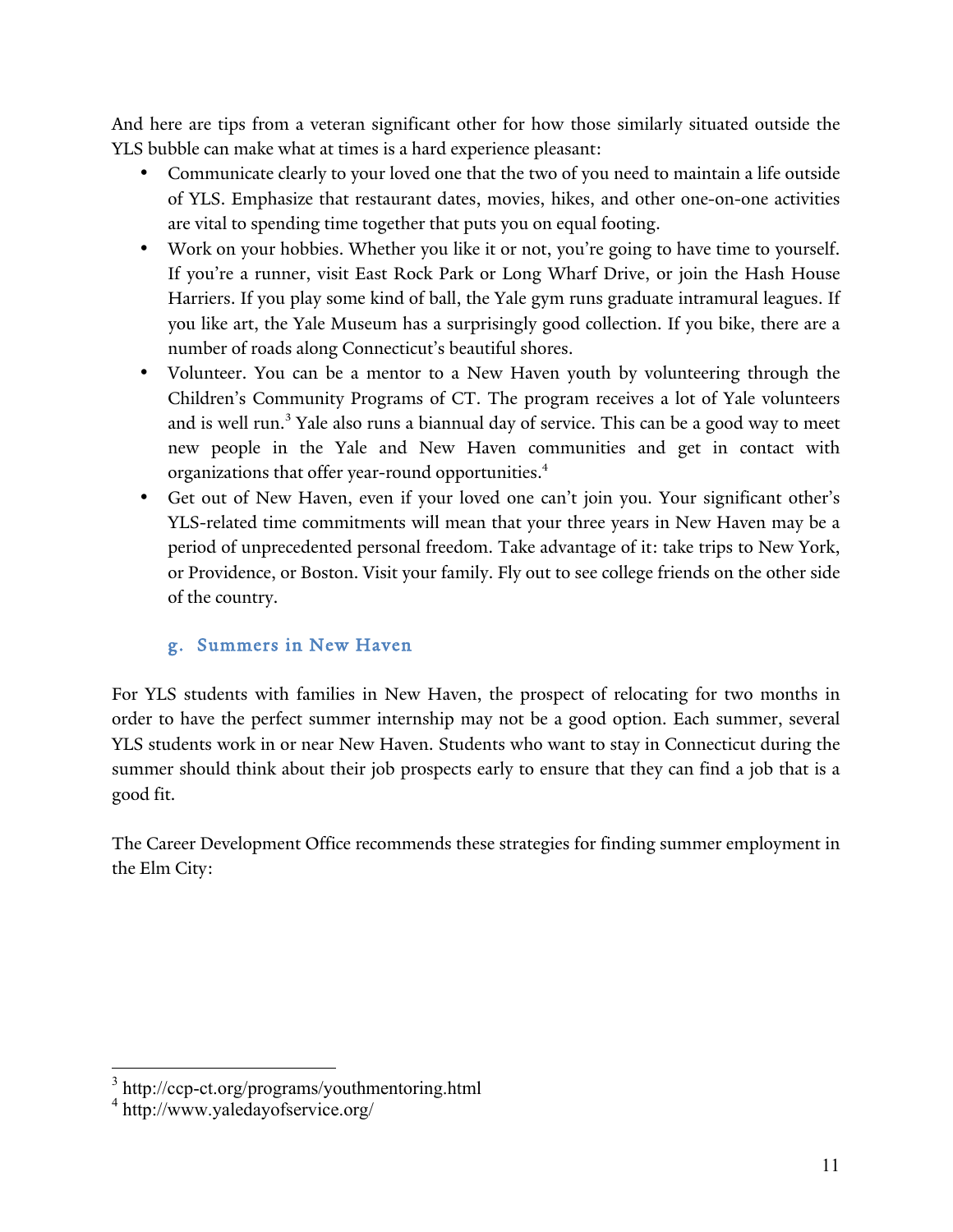And here are tips from a veteran significant other for how those similarly situated outside the YLS bubble can make what at times is a hard experience pleasant:

- Communicate clearly to your loved one that the two of you need to maintain a life outside of YLS. Emphasize that restaurant dates, movies, hikes, and other one-on-one activities are vital to spending time together that puts you on equal footing.
- Work on your hobbies. Whether you like it or not, you're going to have time to yourself. If you're a runner, visit East Rock Park or Long Wharf Drive, or join the Hash House Harriers. If you play some kind of ball, the Yale gym runs graduate intramural leagues. If you like art, the Yale Museum has a surprisingly good collection. If you bike, there are a number of roads along Connecticut's beautiful shores.
- Volunteer. You can be a mentor to a New Haven youth by volunteering through the Children's Community Programs of CT. The program receives a lot of Yale volunteers and is well run.<sup>3</sup> Yale also runs a biannual day of service. This can be a good way to meet new people in the Yale and New Haven communities and get in contact with organizations that offer year-round opportunities.<sup>4</sup>
- Get out of New Haven, even if your loved one can't join you. Your significant other's YLS-related time commitments will mean that your three years in New Haven may be a period of unprecedented personal freedom. Take advantage of it: take trips to New York, or Providence, or Boston. Visit your family. Fly out to see college friends on the other side of the country.

## g. Summers in New Haven

For YLS students with families in New Haven, the prospect of relocating for two months in order to have the perfect summer internship may not be a good option. Each summer, several YLS students work in or near New Haven. Students who want to stay in Connecticut during the summer should think about their job prospects early to ensure that they can find a job that is a good fit.

The Career Development Office recommends these strategies for finding summer employment in the Elm City:

<sup>3</sup> http://ccp-ct.org/programs/youthmentoring.html

<sup>4</sup> http://www.yaledayofservice.org/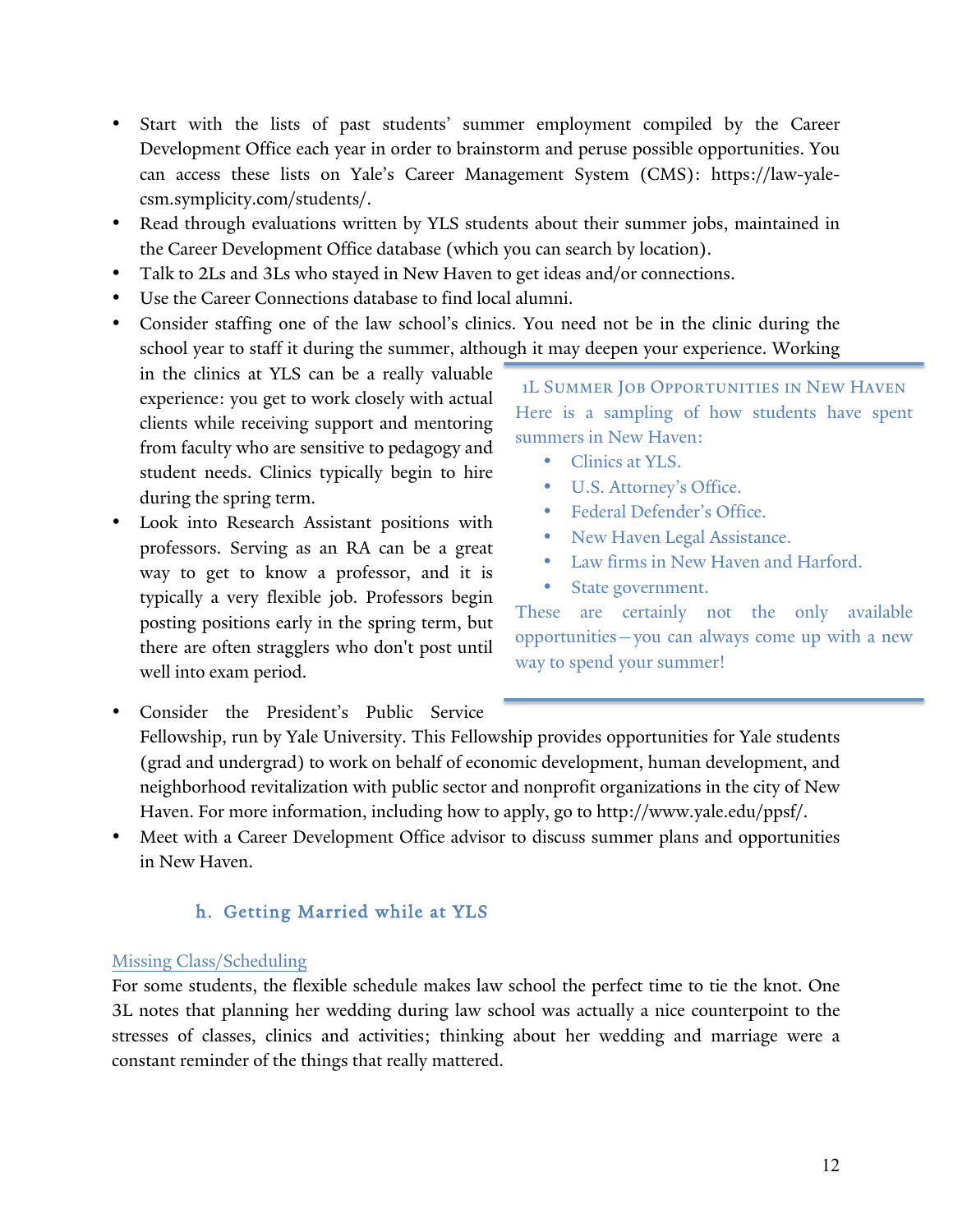- Start with the lists of past students' summer employment compiled by the Career Development Office each year in order to brainstorm and peruse possible opportunities. You can access these lists on Yale's Career Management System (CMS): https://law-yalecsm.symplicity.com/students/.
- Read through evaluations written by YLS students about their summer jobs, maintained in the Career Development Office database (which you can search by location).
- Talk to 2Ls and 3Ls who stayed in New Haven to get ideas and/or connections.
- Use the Career Connections database to find local alumni.
- Consider staffing one of the law school's clinics. You need not be in the clinic during the school year to staff it during the summer, although it may deepen your experience. Working

in the clinics at YLS can be a really valuable experience: you get to work closely with actual clients while receiving support and mentoring from faculty who are sensitive to pedagogy and student needs. Clinics typically begin to hire during the spring term.

Look into Research Assistant positions with professors. Serving as an RA can be a great way to get to know a professor, and it is typically a very flexible job. Professors begin posting positions early in the spring term, but there are often stragglers who don't post until well into exam period.

1L Summer Job Opportunities in New Haven Here is a sampling of how students have spent summers in New Haven:

- Clinics at YLS.
- U.S. Attorney's Office.
- Federal Defender's Office.
- New Haven Legal Assistance.
- Law firms in New Haven and Harford.
- State government.

These are certainly not the only available opportunities—you can always come up with a new way to spend your summer!

- Consider the President's Public Service Fellowship, run by Yale University. This Fellowship provides opportunities for Yale students (grad and undergrad) to work on behalf of economic development, human development, and neighborhood revitalization with public sector and nonprofit organizations in the city of New Haven. For more information, including how to apply, go to http://www.yale.edu/ppsf/.
- Meet with a Career Development Office advisor to discuss summer plans and opportunities in New Haven.

## h. Getting Married while at YLS

#### Missing Class/Scheduling

For some students, the flexible schedule makes law school the perfect time to tie the knot. One 3L notes that planning her wedding during law school was actually a nice counterpoint to the stresses of classes, clinics and activities; thinking about her wedding and marriage were a constant reminder of the things that really mattered.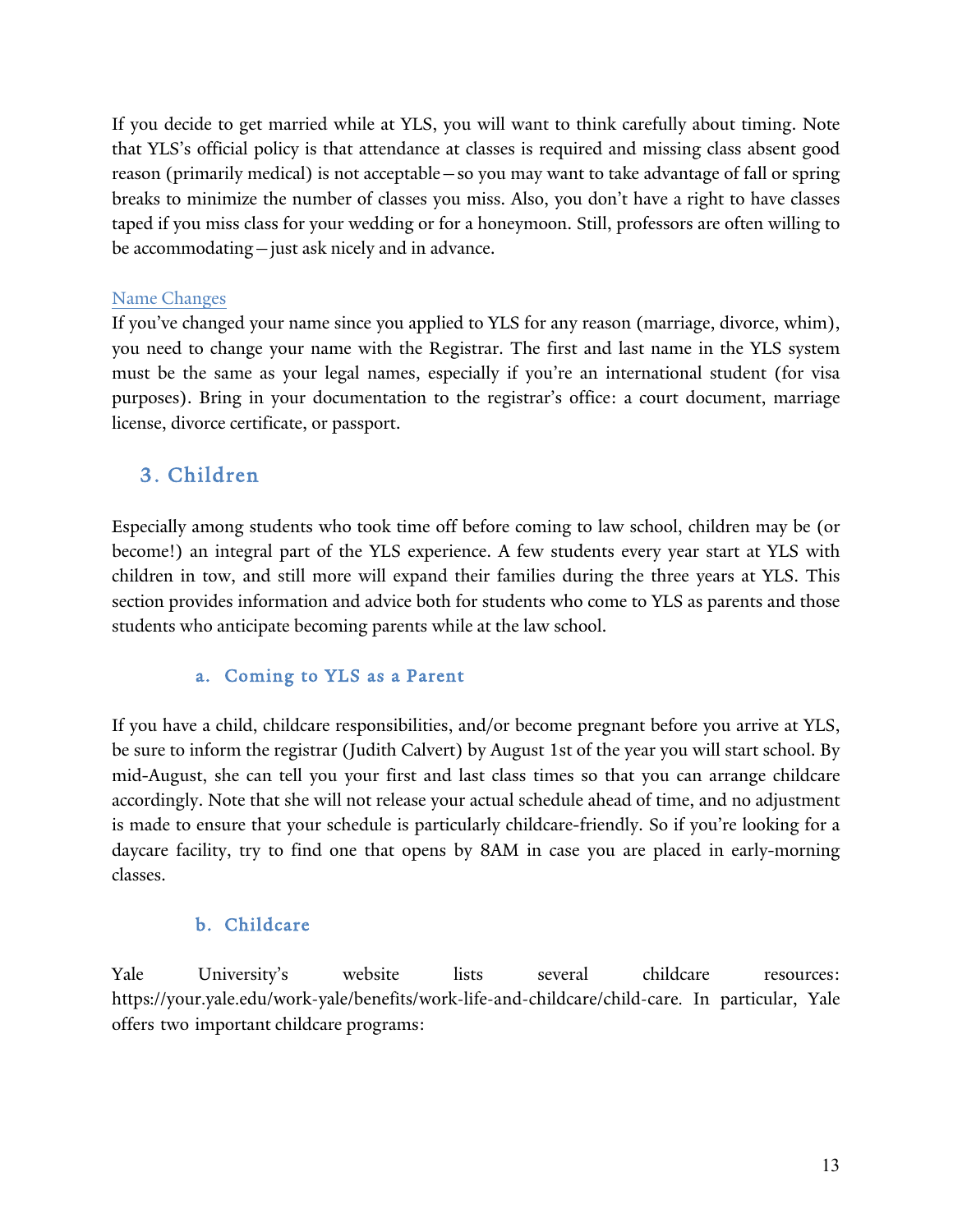If you decide to get married while at YLS, you will want to think carefully about timing. Note that YLS's official policy is that attendance at classes is required and missing class absent good reason (primarily medical) is not acceptable—so you may want to take advantage of fall or spring breaks to minimize the number of classes you miss. Also, you don't have a right to have classes taped if you miss class for your wedding or for a honeymoon. Still, professors are often willing to be accommodating—just ask nicely and in advance.

#### Name Changes

If you've changed your name since you applied to YLS for any reason (marriage, divorce, whim), you need to change your name with the Registrar. The first and last name in the YLS system must be the same as your legal names, especially if you're an international student (for visa purposes). Bring in your documentation to the registrar's office: a court document, marriage license, divorce certificate, or passport.

## 3. Children

Especially among students who took time off before coming to law school, children may be (or become!) an integral part of the YLS experience. A few students every year start at YLS with children in tow, and still more will expand their families during the three years at YLS. This section provides information and advice both for students who come to YLS as parents and those students who anticipate becoming parents while at the law school.

#### a. Coming to YLS as a Parent

If you have a child, childcare responsibilities, and/or become pregnant before you arrive at YLS, be sure to inform the registrar (Judith Calvert) by August 1st of the year you will start school. By mid-August, she can tell you your first and last class times so that you can arrange childcare accordingly. Note that she will not release your actual schedule ahead of time, and no adjustment is made to ensure that your schedule is particularly childcare-friendly. So if you're looking for a daycare facility, try to find one that opens by 8AM in case you are placed in early-morning classes.

## b. Childcare

Yale University's website lists several childcare resources: https://your.yale.edu/work-yale/benefits/work-life-and-childcare/child-care. In particular, Yale offers two important childcare programs: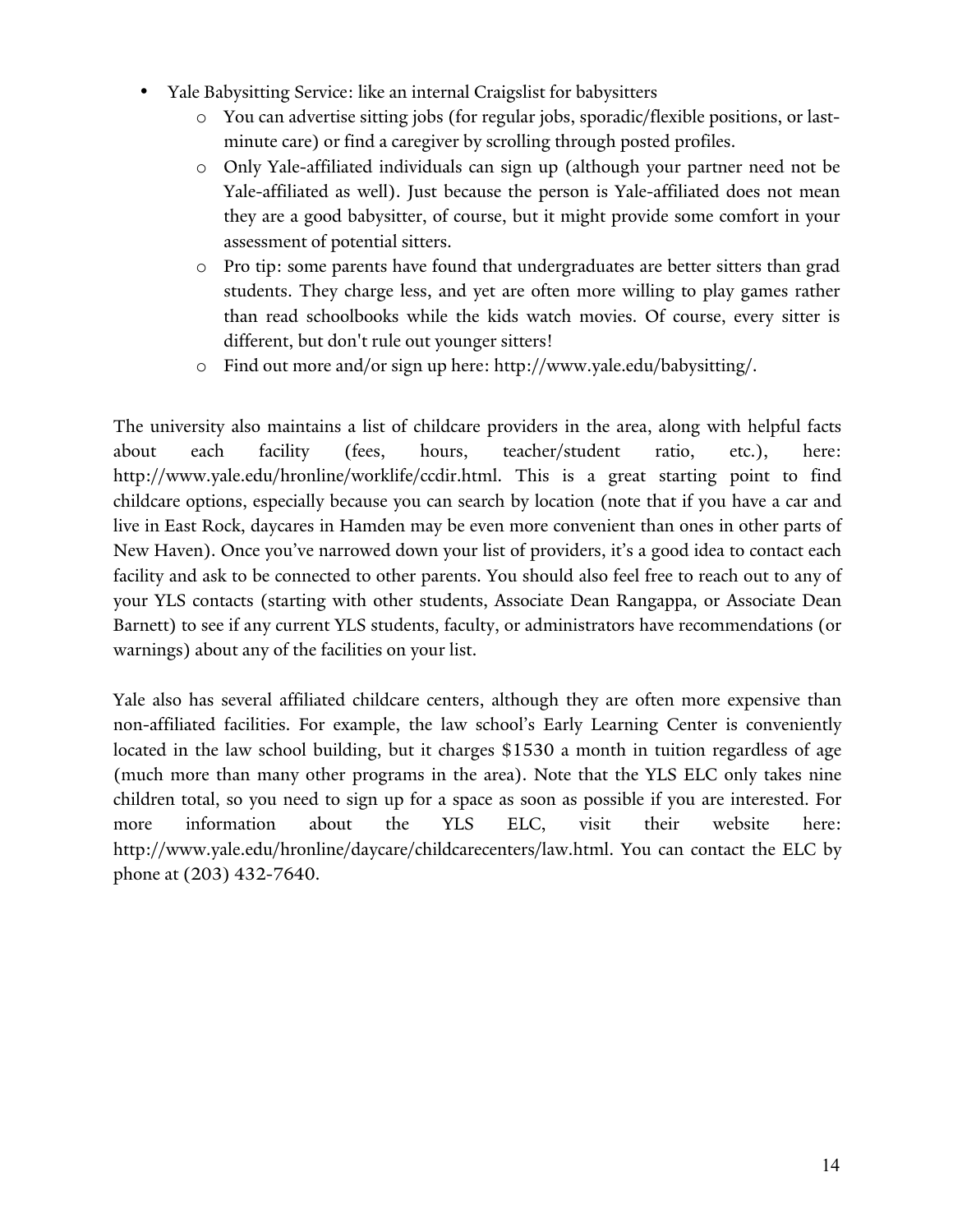- Yale Babysitting Service: like an internal Craigslist for babysitters
	- o You can advertise sitting jobs (for regular jobs, sporadic/flexible positions, or lastminute care) or find a caregiver by scrolling through posted profiles.
	- o Only Yale-affiliated individuals can sign up (although your partner need not be Yale-affiliated as well). Just because the person is Yale-affiliated does not mean they are a good babysitter, of course, but it might provide some comfort in your assessment of potential sitters.
	- o Pro tip: some parents have found that undergraduates are better sitters than grad students. They charge less, and yet are often more willing to play games rather than read schoolbooks while the kids watch movies. Of course, every sitter is different, but don't rule out younger sitters!
	- o Find out more and/or sign up here: http://www.yale.edu/babysitting/.

The university also maintains a list of childcare providers in the area, along with helpful facts about each facility (fees, hours, teacher/student ratio, etc.), here: http://www.yale.edu/hronline/worklife/ccdir.html. This is a great starting point to find childcare options, especially because you can search by location (note that if you have a car and live in East Rock, daycares in Hamden may be even more convenient than ones in other parts of New Haven). Once you've narrowed down your list of providers, it's a good idea to contact each facility and ask to be connected to other parents. You should also feel free to reach out to any of your YLS contacts (starting with other students, Associate Dean Rangappa, or Associate Dean Barnett) to see if any current YLS students, faculty, or administrators have recommendations (or warnings) about any of the facilities on your list.

Yale also has several affiliated childcare centers, although they are often more expensive than non-affiliated facilities. For example, the law school's Early Learning Center is conveniently located in the law school building, but it charges \$1530 a month in tuition regardless of age (much more than many other programs in the area). Note that the YLS ELC only takes nine children total, so you need to sign up for a space as soon as possible if you are interested. For more information about the YLS ELC, visit their website here: http://www.yale.edu/hronline/daycare/childcarecenters/law.html. You can contact the ELC by phone at (203) 432-7640.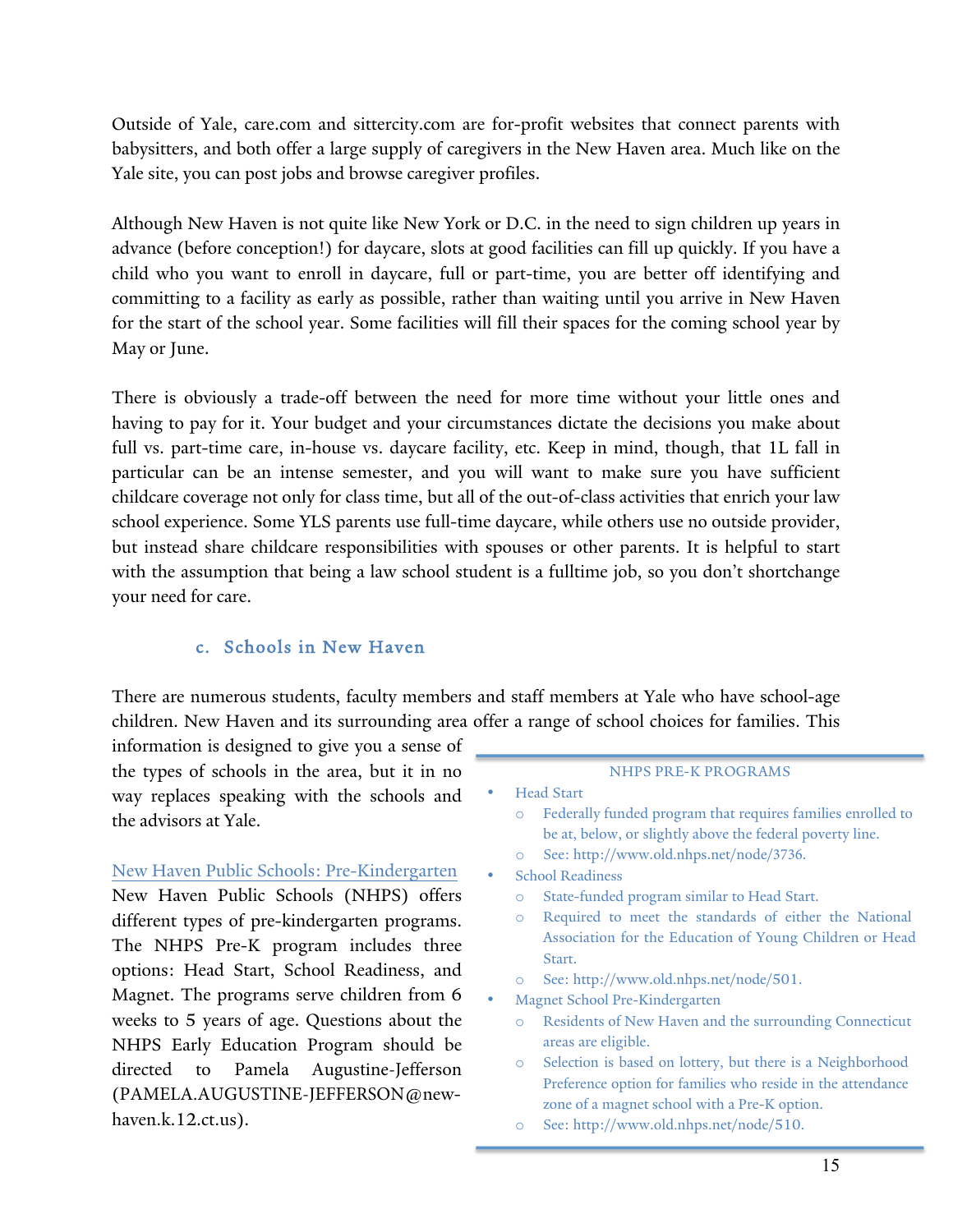Outside of Yale, care.com and sittercity.com are for-profit websites that connect parents with babysitters, and both offer a large supply of caregivers in the New Haven area. Much like on the Yale site, you can post jobs and browse caregiver profiles.

Although New Haven is not quite like New York or D.C. in the need to sign children up years in advance (before conception!) for daycare, slots at good facilities can fill up quickly. If you have a child who you want to enroll in daycare, full or part-time, you are better off identifying and committing to a facility as early as possible, rather than waiting until you arrive in New Haven for the start of the school year. Some facilities will fill their spaces for the coming school year by May or June.

There is obviously a trade-off between the need for more time without your little ones and having to pay for it. Your budget and your circumstances dictate the decisions you make about full vs. part-time care, in-house vs. daycare facility, etc. Keep in mind, though, that 1L fall in particular can be an intense semester, and you will want to make sure you have sufficient childcare coverage not only for class time, but all of the out-of-class activities that enrich your law school experience. Some YLS parents use full-time daycare, while others use no outside provider, but instead share childcare responsibilities with spouses or other parents. It is helpful to start with the assumption that being a law school student is a fulltime job, so you don't shortchange your need for care.

#### c. Schools in New Haven

There are numerous students, faculty members and staff members at Yale who have school-age children. New Haven and its surrounding area offer a range of school choices for families. This

information is designed to give you a sense of the types of schools in the area, but it in no way replaces speaking with the schools and the advisors at Yale.

# New Haven Public Schools: Pre-Kindergarten New Haven Public Schools (NHPS) offers

different types of pre-kindergarten programs. The NHPS Pre-K program includes three options: Head Start, School Readiness, and Magnet. The programs serve children from 6 weeks to 5 years of age. Questions about the NHPS Early Education Program should be directed to Pamela Augustine-Jefferson (PAMELA.AUGUSTINE-JEFFERSON@newhaven.k.12.ct.us).

#### NHPS PRE-K PROGRAMS

- Head Start
	- o Federally funded program that requires families enrolled to be at, below, or slightly above the federal poverty line.
	- o See: http://www.old.nhps.net/node/3736.
- School Readiness
	- o State-funded program similar to Head Start.
	- o Required to meet the standards of either the National Association for the Education of Young Children or Head Start.
	- o See: http://www.old.nhps.net/node/501.
- Magnet School Pre-Kindergarten
	- o Residents of New Haven and the surrounding Connecticut areas are eligible.
	- o Selection is based on lottery, but there is a Neighborhood Preference option for families who reside in the attendance zone of a magnet school with a Pre-K option.
- o See: http://www.old.nhps.net/node/510.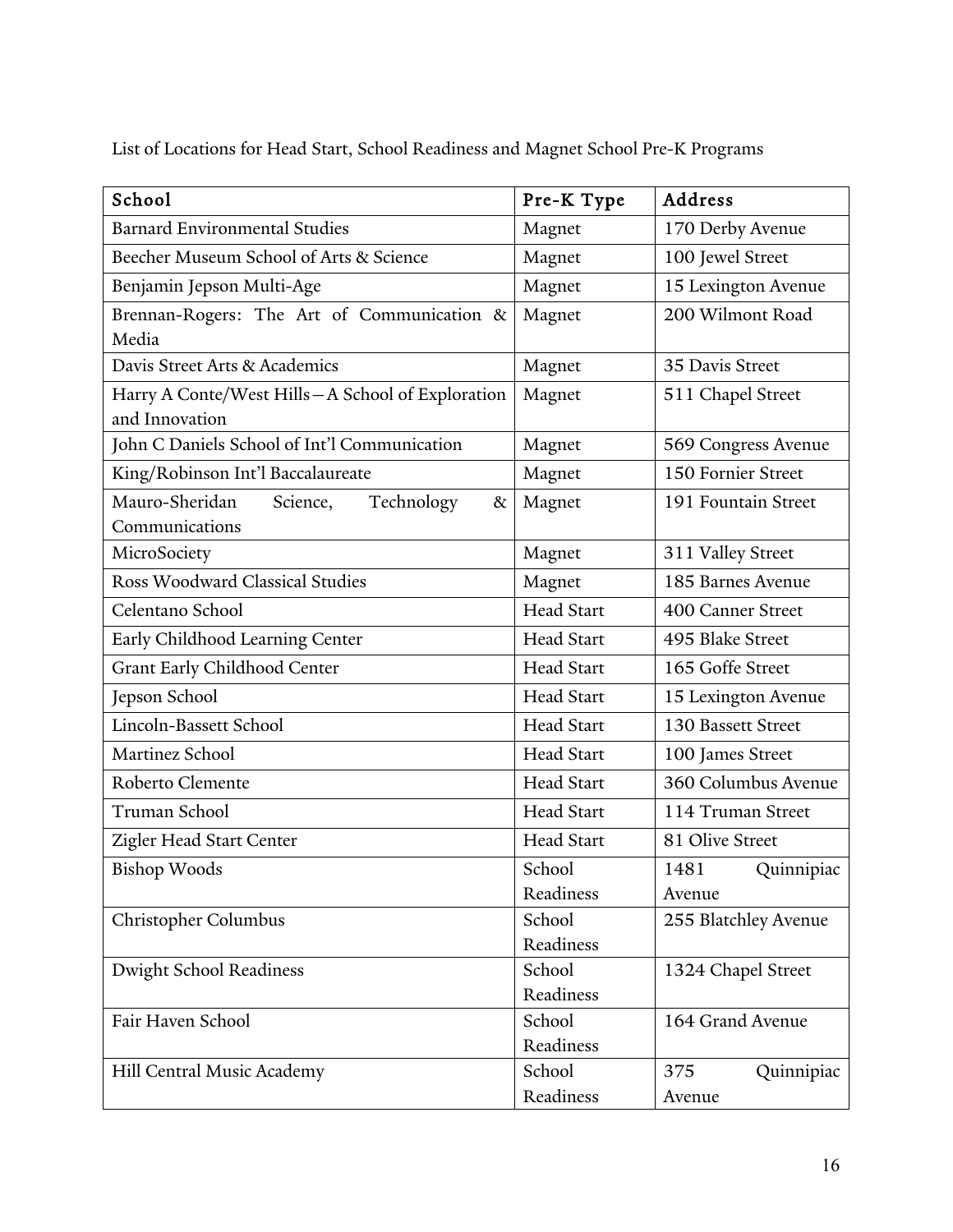List of Locations for Head Start, School Readiness and Magnet School Pre-K Programs

| School                                                             | Pre-K Type        | Address              |  |
|--------------------------------------------------------------------|-------------------|----------------------|--|
| <b>Barnard Environmental Studies</b>                               | Magnet            | 170 Derby Avenue     |  |
| Beecher Museum School of Arts & Science                            | Magnet            | 100 Jewel Street     |  |
| Benjamin Jepson Multi-Age                                          | Magnet            | 15 Lexington Avenue  |  |
| Brennan-Rogers: The Art of Communication &                         | Magnet            | 200 Wilmont Road     |  |
| Media                                                              |                   |                      |  |
| Davis Street Arts & Academics                                      | Magnet            | 35 Davis Street      |  |
| Harry A Conte/West Hills-A School of Exploration<br>and Innovation | Magnet            | 511 Chapel Street    |  |
| John C Daniels School of Int'l Communication                       | Magnet            | 569 Congress Avenue  |  |
| King/Robinson Int'l Baccalaureate                                  | Magnet            | 150 Fornier Street   |  |
| Mauro-Sheridan<br>Science,<br>Technology<br>$\&$                   | Magnet            | 191 Fountain Street  |  |
| Communications                                                     |                   |                      |  |
| MicroSociety                                                       | Magnet            | 311 Valley Street    |  |
| Ross Woodward Classical Studies                                    | Magnet            | 185 Barnes Avenue    |  |
| Celentano School                                                   | <b>Head Start</b> | 400 Canner Street    |  |
| Early Childhood Learning Center                                    | <b>Head Start</b> | 495 Blake Street     |  |
| Grant Early Childhood Center                                       | <b>Head Start</b> | 165 Goffe Street     |  |
| Jepson School                                                      | <b>Head Start</b> | 15 Lexington Avenue  |  |
| Lincoln-Bassett School                                             | Head Start        | 130 Bassett Street   |  |
| Martinez School                                                    | <b>Head Start</b> | 100 James Street     |  |
| Roberto Clemente                                                   | Head Start        | 360 Columbus Avenue  |  |
| Truman School                                                      | Head Start        | 114 Truman Street    |  |
| Zigler Head Start Center                                           | <b>Head Start</b> | 81 Olive Street      |  |
| <b>Bishop Woods</b>                                                | School            | Quinnipiac<br>1481   |  |
|                                                                    | Readiness         | Avenue               |  |
| Christopher Columbus                                               | School            | 255 Blatchley Avenue |  |
|                                                                    | Readiness         |                      |  |
| <b>Dwight School Readiness</b>                                     | School            | 1324 Chapel Street   |  |
|                                                                    | Readiness         |                      |  |
| Fair Haven School                                                  | School            | 164 Grand Avenue     |  |
|                                                                    | Readiness         |                      |  |
| Hill Central Music Academy                                         | School            | 375<br>Quinnipiac    |  |
|                                                                    | Readiness         | Avenue               |  |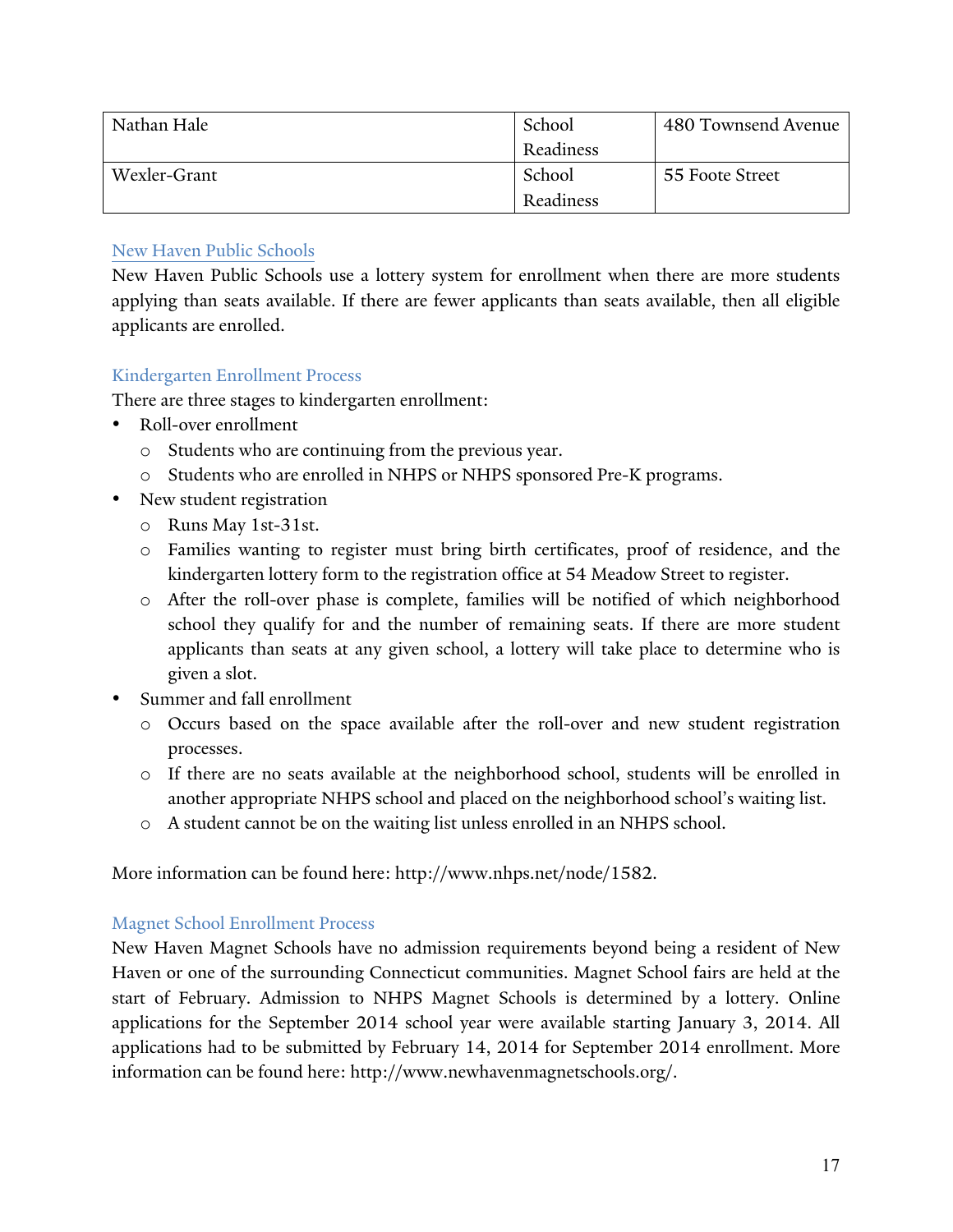| Nathan Hale  | School    | 480 Townsend Avenue |
|--------------|-----------|---------------------|
|              | Readiness |                     |
| Wexler-Grant | School    | 55 Foote Street     |
|              | Readiness |                     |

#### New Haven Public Schools

New Haven Public Schools use a lottery system for enrollment when there are more students applying than seats available. If there are fewer applicants than seats available, then all eligible applicants are enrolled.

#### Kindergarten Enrollment Process

There are three stages to kindergarten enrollment:

- Roll-over enrollment
	- o Students who are continuing from the previous year.
	- o Students who are enrolled in NHPS or NHPS sponsored Pre-K programs.
- New student registration
	- o Runs May 1st-31st.
	- o Families wanting to register must bring birth certificates, proof of residence, and the kindergarten lottery form to the registration office at 54 Meadow Street to register.
	- o After the roll-over phase is complete, families will be notified of which neighborhood school they qualify for and the number of remaining seats. If there are more student applicants than seats at any given school, a lottery will take place to determine who is given a slot.
- Summer and fall enrollment
	- o Occurs based on the space available after the roll-over and new student registration processes.
	- o If there are no seats available at the neighborhood school, students will be enrolled in another appropriate NHPS school and placed on the neighborhood school's waiting list.
	- o A student cannot be on the waiting list unless enrolled in an NHPS school.

More information can be found here: http://www.nhps.net/node/1582.

#### Magnet School Enrollment Process

New Haven Magnet Schools have no admission requirements beyond being a resident of New Haven or one of the surrounding Connecticut communities. Magnet School fairs are held at the start of February. Admission to NHPS Magnet Schools is determined by a lottery. Online applications for the September 2014 school year were available starting January 3, 2014. All applications had to be submitted by February 14, 2014 for September 2014 enrollment. More information can be found here: http://www.newhavenmagnetschools.org/.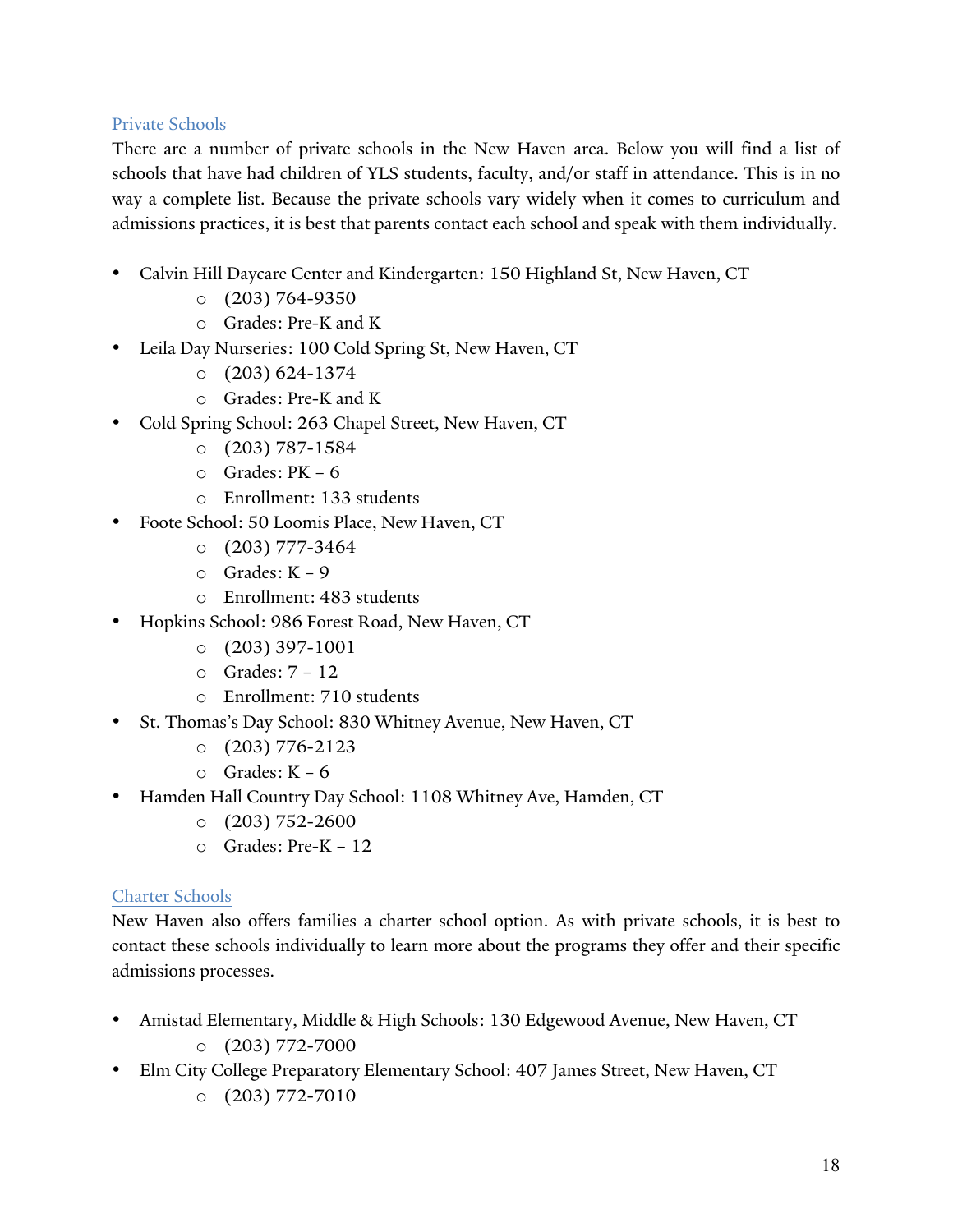#### Private Schools

There are a number of private schools in the New Haven area. Below you will find a list of schools that have had children of YLS students, faculty, and/or staff in attendance. This is in no way a complete list. Because the private schools vary widely when it comes to curriculum and admissions practices, it is best that parents contact each school and speak with them individually.

- Calvin Hill Daycare Center and Kindergarten: 150 Highland St, New Haven, CT
	- $O$  (203) 764-9350
	- o Grades: Pre-K and K
- Leila Day Nurseries: 100 Cold Spring St, New Haven, CT
	- $\circ$  (203) 624-1374
	- o Grades: Pre-K and K
- Cold Spring School: 263 Chapel Street, New Haven, CT
	- $O$  (203) 787-1584
	- o Grades: PK 6
	- o Enrollment: 133 students
- Foote School: 50 Loomis Place, New Haven, CT
	- $O$  (203) 777-3464
	- o Grades: K 9
	- o Enrollment: 483 students
- Hopkins School: 986 Forest Road, New Haven, CT
	- o (203) 397-1001
	- o Grades: 7 12
	- o Enrollment: 710 students
- St. Thomas's Day School: 830 Whitney Avenue, New Haven, CT
	- $O$  (203) 776-2123
	- o Grades: K 6
- Hamden Hall Country Day School: 1108 Whitney Ave, Hamden, CT
	- $O(203) 752 2600$
	- o Grades: Pre-K 12

#### Charter Schools

New Haven also offers families a charter school option. As with private schools, it is best to contact these schools individually to learn more about the programs they offer and their specific admissions processes.

- Amistad Elementary, Middle & High Schools: 130 Edgewood Avenue, New Haven, CT  $O$  (203) 772-7000
- Elm City College Preparatory Elementary School: 407 James Street, New Haven, CT  $O(203) 772 - 7010$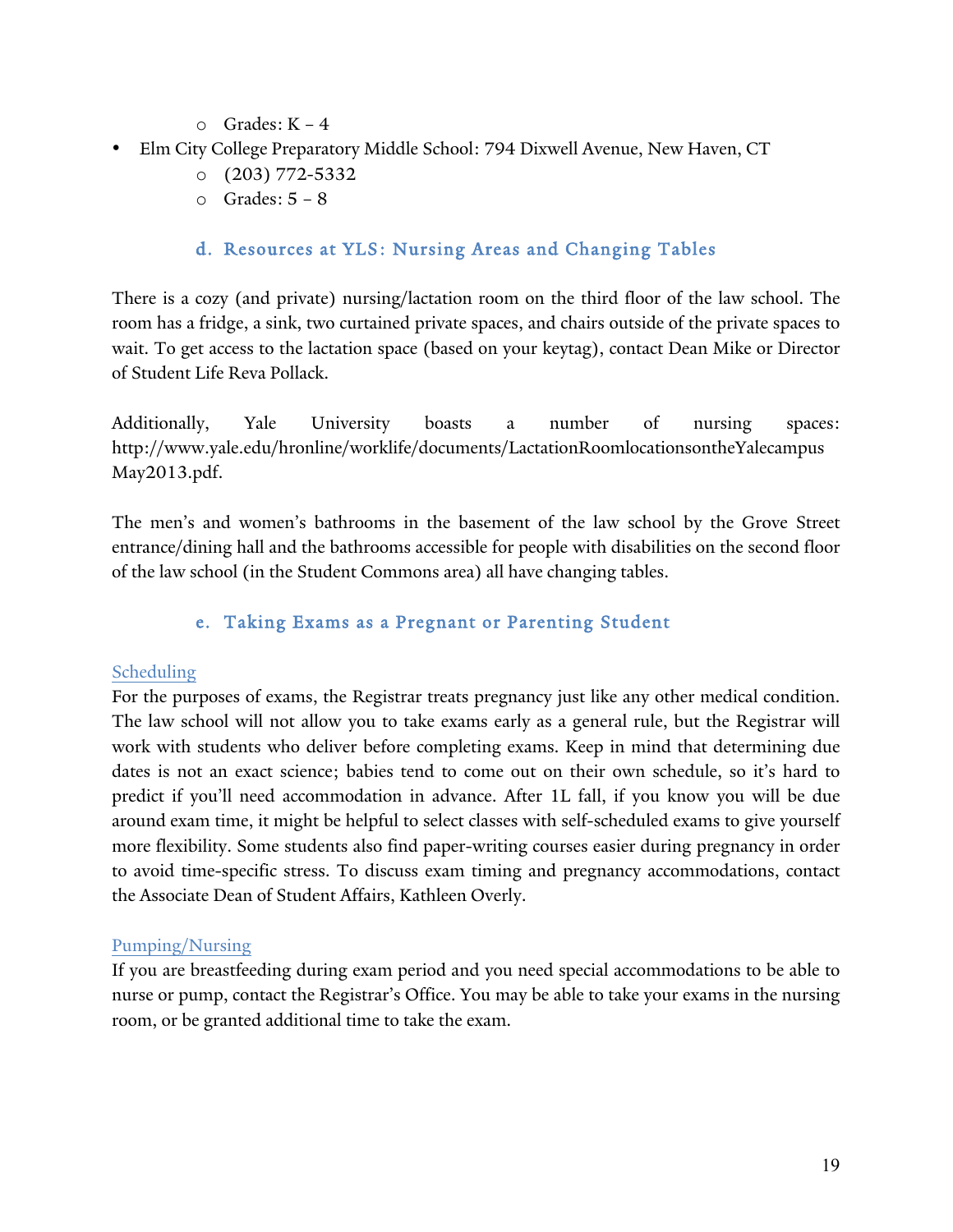- o Grades: K 4
- Elm City College Preparatory Middle School: 794 Dixwell Avenue, New Haven, CT
	- o (203) 772-5332
	- o Grades: 5 8

## d. Resources at YLS: Nursing Areas and Changing Tables

There is a cozy (and private) nursing/lactation room on the third floor of the law school. The room has a fridge, a sink, two curtained private spaces, and chairs outside of the private spaces to wait. To get access to the lactation space (based on your keytag), contact Dean Mike or Director of Student Life Reva Pollack.

Additionally, Yale University boasts a number of nursing spaces: http://www.yale.edu/hronline/worklife/documents/LactationRoomlocationsontheYalecampus May2013.pdf.

The men's and women's bathrooms in the basement of the law school by the Grove Street entrance/dining hall and the bathrooms accessible for people with disabilities on the second floor of the law school (in the Student Commons area) all have changing tables.

## e. Taking Exams as a Pregnant or Parenting Student

#### Scheduling

For the purposes of exams, the Registrar treats pregnancy just like any other medical condition. The law school will not allow you to take exams early as a general rule, but the Registrar will work with students who deliver before completing exams. Keep in mind that determining due dates is not an exact science; babies tend to come out on their own schedule, so it's hard to predict if you'll need accommodation in advance. After 1L fall, if you know you will be due around exam time, it might be helpful to select classes with self-scheduled exams to give yourself more flexibility. Some students also find paper-writing courses easier during pregnancy in order to avoid time-specific stress. To discuss exam timing and pregnancy accommodations, contact the Associate Dean of Student Affairs, Kathleen Overly.

#### Pumping/Nursing

If you are breastfeeding during exam period and you need special accommodations to be able to nurse or pump, contact the Registrar's Office. You may be able to take your exams in the nursing room, or be granted additional time to take the exam.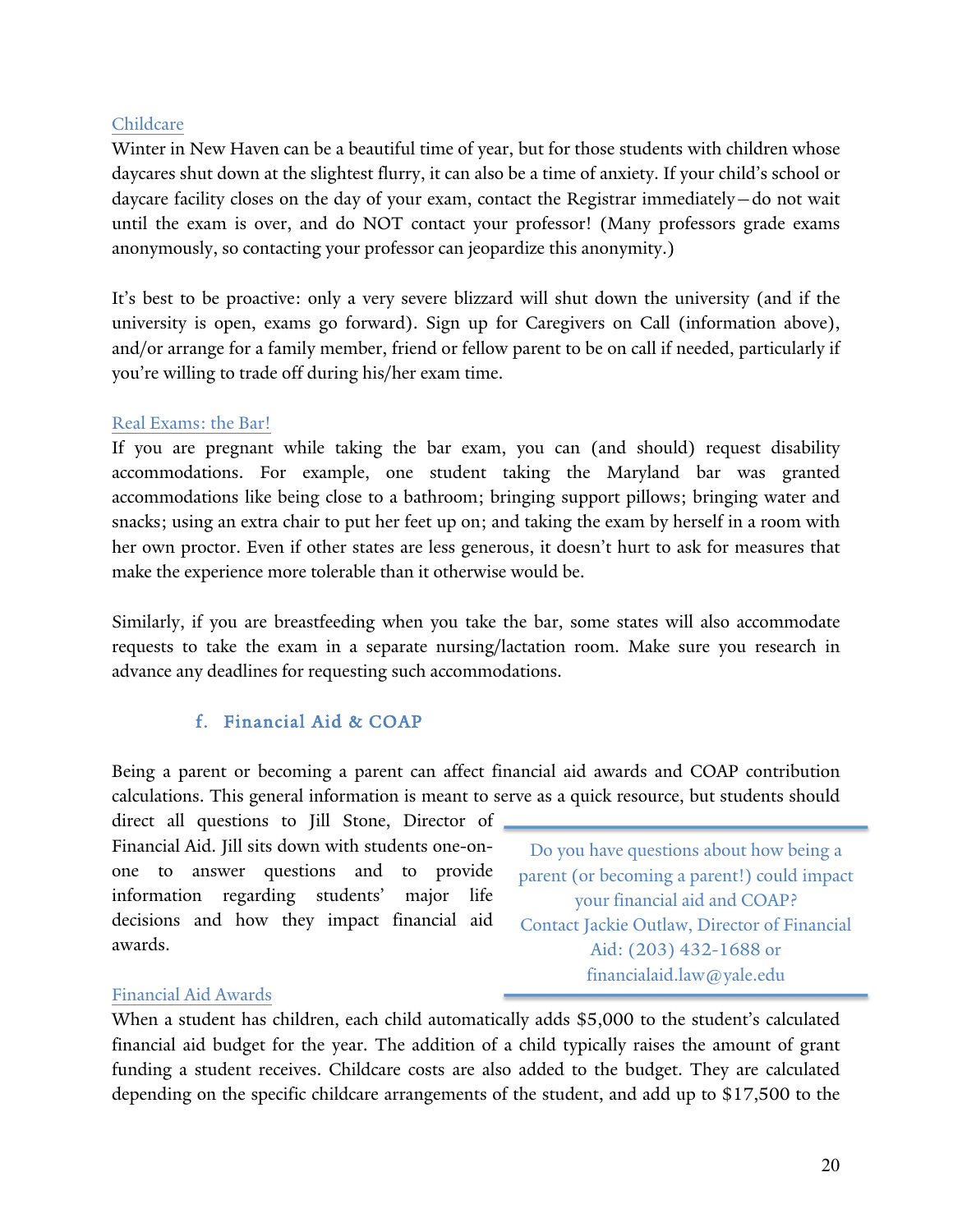#### Childcare

Winter in New Haven can be a beautiful time of year, but for those students with children whose daycares shut down at the slightest flurry, it can also be a time of anxiety. If your child's school or daycare facility closes on the day of your exam, contact the Registrar immediately—do not wait until the exam is over, and do NOT contact your professor! (Many professors grade exams anonymously, so contacting your professor can jeopardize this anonymity.)

It's best to be proactive: only a very severe blizzard will shut down the university (and if the university is open, exams go forward). Sign up for Caregivers on Call (information above), and/or arrange for a family member, friend or fellow parent to be on call if needed, particularly if you're willing to trade off during his/her exam time.

#### Real Exams: the Bar!

If you are pregnant while taking the bar exam, you can (and should) request disability accommodations. For example, one student taking the Maryland bar was granted accommodations like being close to a bathroom; bringing support pillows; bringing water and snacks; using an extra chair to put her feet up on; and taking the exam by herself in a room with her own proctor. Even if other states are less generous, it doesn't hurt to ask for measures that make the experience more tolerable than it otherwise would be.

Similarly, if you are breastfeeding when you take the bar, some states will also accommodate requests to take the exam in a separate nursing/lactation room. Make sure you research in advance any deadlines for requesting such accommodations.

## f. Financial Aid & COAP

Being a parent or becoming a parent can affect financial aid awards and COAP contribution calculations. This general information is meant to serve as a quick resource, but students should

direct all questions to Jill Stone, Director of Financial Aid. Jill sits down with students one-onone to answer questions and to provide information regarding students' major life decisions and how they impact financial aid awards.

Do you have questions about how being a parent (or becoming a parent!) could impact your financial aid and COAP? Contact Jackie Outlaw, Director of Financial Aid: (203) 432-1688 or financialaid.law@yale.edu

#### Financial Aid Awards

When a student has children, each child automatically adds \$5,000 to the student's calculated financial aid budget for the year. The addition of a child typically raises the amount of grant funding a student receives. Childcare costs are also added to the budget. They are calculated depending on the specific childcare arrangements of the student, and add up to \$17,500 to the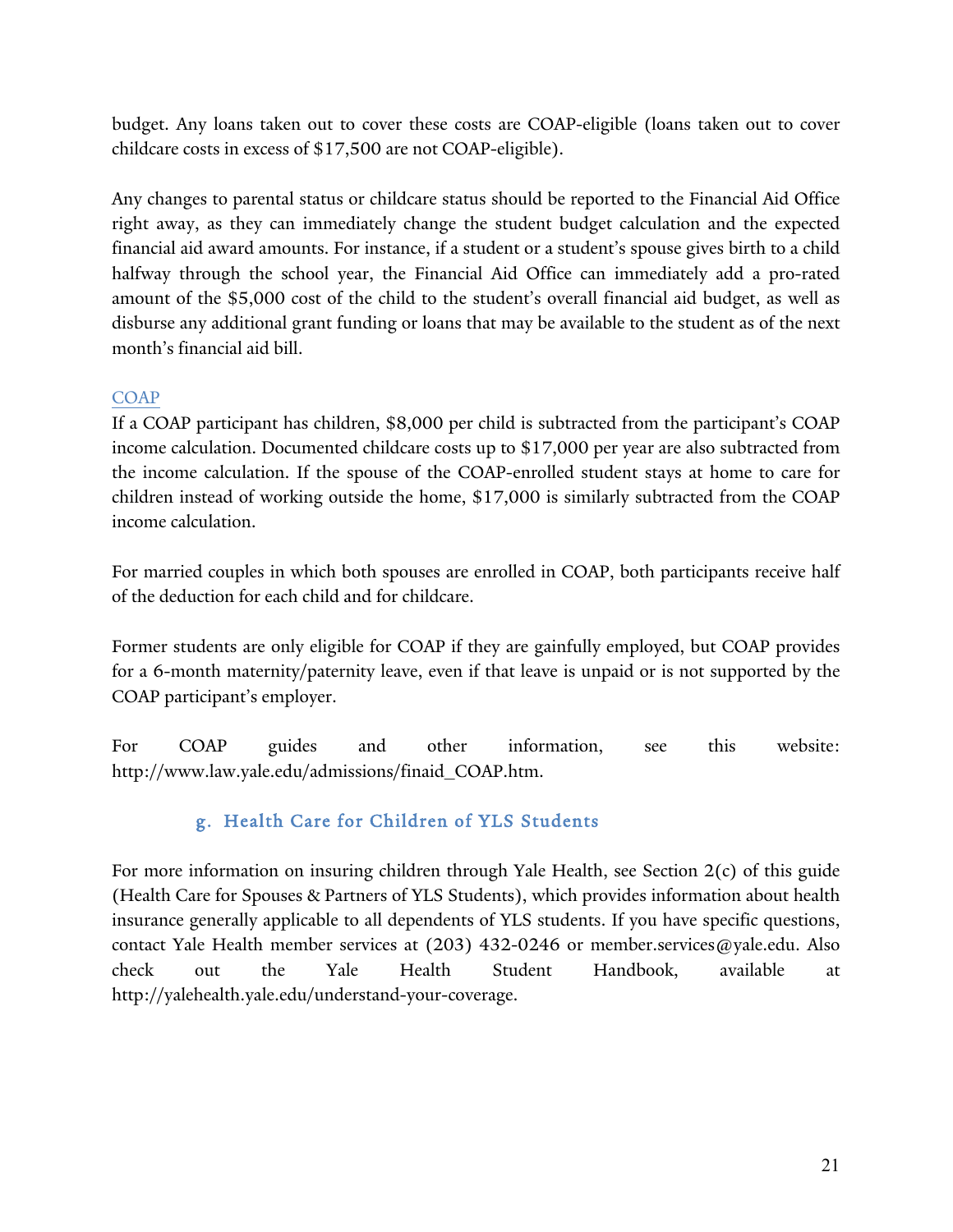budget. Any loans taken out to cover these costs are COAP-eligible (loans taken out to cover childcare costs in excess of \$17,500 are not COAP-eligible).

Any changes to parental status or childcare status should be reported to the Financial Aid Office right away, as they can immediately change the student budget calculation and the expected financial aid award amounts. For instance, if a student or a student's spouse gives birth to a child halfway through the school year, the Financial Aid Office can immediately add a pro-rated amount of the \$5,000 cost of the child to the student's overall financial aid budget, as well as disburse any additional grant funding or loans that may be available to the student as of the next month's financial aid bill.

## **COAP**

If a COAP participant has children, \$8,000 per child is subtracted from the participant's COAP income calculation. Documented childcare costs up to \$17,000 per year are also subtracted from the income calculation. If the spouse of the COAP-enrolled student stays at home to care for children instead of working outside the home, \$17,000 is similarly subtracted from the COAP income calculation.

For married couples in which both spouses are enrolled in COAP, both participants receive half of the deduction for each child and for childcare.

Former students are only eligible for COAP if they are gainfully employed, but COAP provides for a 6-month maternity/paternity leave, even if that leave is unpaid or is not supported by the COAP participant's employer.

For COAP guides and other information, see this website: http://www.law.yale.edu/admissions/finaid\_COAP.htm.

## g. Health Care for Children of YLS Students

For more information on insuring children through Yale Health, see Section 2(c) of this guide (Health Care for Spouses & Partners of YLS Students), which provides information about health insurance generally applicable to all dependents of YLS students. If you have specific questions, contact Yale Health member services at (203) 432-0246 or member.services@yale.edu. Also check out the Yale Health Student Handbook, available at http://yalehealth.yale.edu/understand-your-coverage.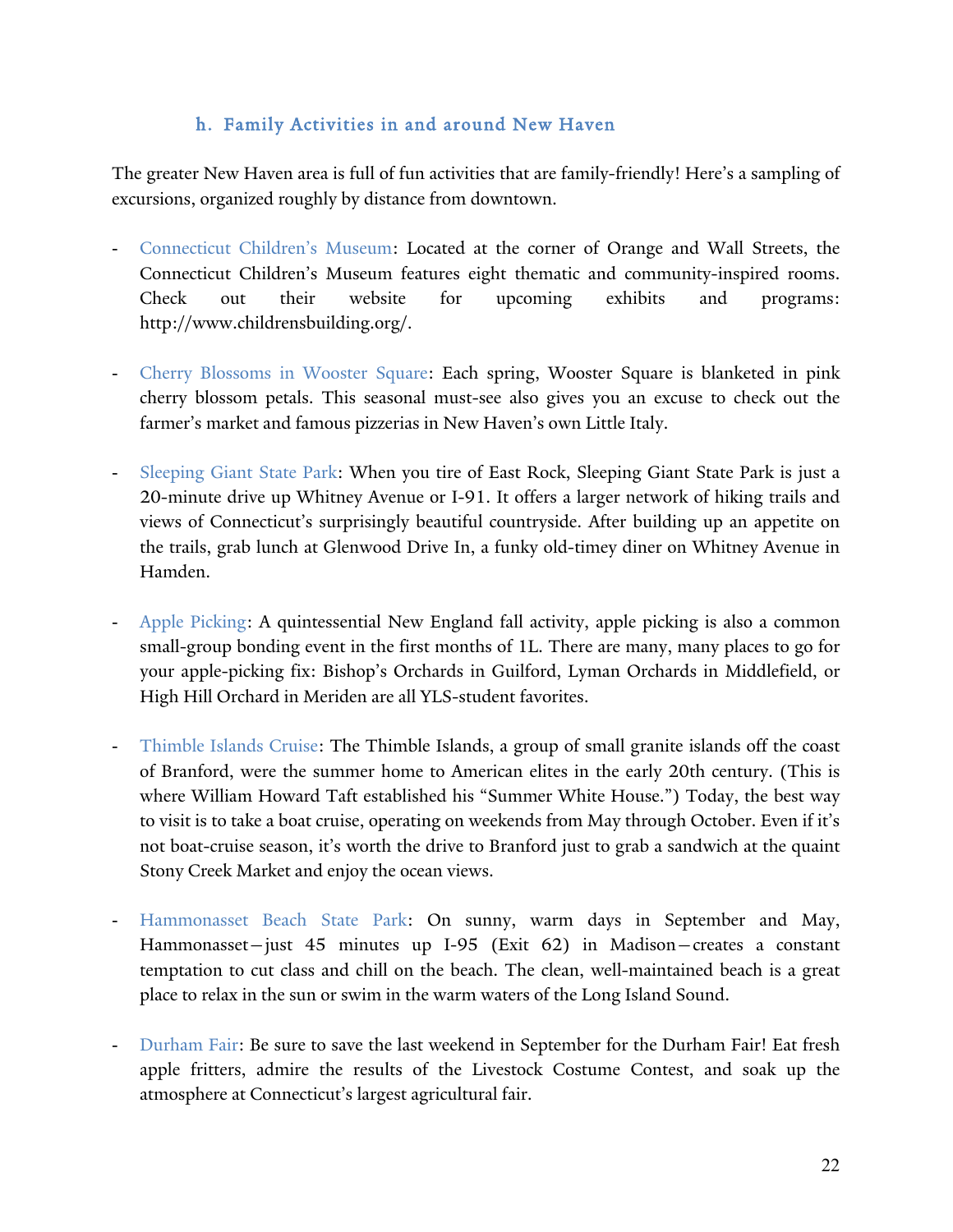#### h. Family Activities in and around New Haven

The greater New Haven area is full of fun activities that are family-friendly! Here's a sampling of excursions, organized roughly by distance from downtown.

- Connecticut Children's Museum: Located at the corner of Orange and Wall Streets, the Connecticut Children's Museum features eight thematic and community-inspired rooms. Check out their website for upcoming exhibits and programs: http://www.childrensbuilding.org/.
- Cherry Blossoms in Wooster Square: Each spring, Wooster Square is blanketed in pink cherry blossom petals. This seasonal must-see also gives you an excuse to check out the farmer's market and famous pizzerias in New Haven's own Little Italy.
- Sleeping Giant State Park: When you tire of East Rock, Sleeping Giant State Park is just a 20-minute drive up Whitney Avenue or I-91. It offers a larger network of hiking trails and views of Connecticut's surprisingly beautiful countryside. After building up an appetite on the trails, grab lunch at Glenwood Drive In, a funky old-timey diner on Whitney Avenue in Hamden.
- Apple Picking: A quintessential New England fall activity, apple picking is also a common small-group bonding event in the first months of 1L. There are many, many places to go for your apple-picking fix: Bishop's Orchards in Guilford, Lyman Orchards in Middlefield, or High Hill Orchard in Meriden are all YLS-student favorites.
- Thimble Islands Cruise: The Thimble Islands, a group of small granite islands off the coast of Branford, were the summer home to American elites in the early 20th century. (This is where William Howard Taft established his "Summer White House.") Today, the best way to visit is to take a boat cruise, operating on weekends from May through October. Even if it's not boat-cruise season, it's worth the drive to Branford just to grab a sandwich at the quaint Stony Creek Market and enjoy the ocean views.
- Hammonasset Beach State Park: On sunny, warm days in September and May, Hammonasset—just 45 minutes up I-95 (Exit 62) in Madison—creates a constant temptation to cut class and chill on the beach. The clean, well-maintained beach is a great place to relax in the sun or swim in the warm waters of the Long Island Sound.
- Durham Fair: Be sure to save the last weekend in September for the Durham Fair! Eat fresh apple fritters, admire the results of the Livestock Costume Contest, and soak up the atmosphere at Connecticut's largest agricultural fair.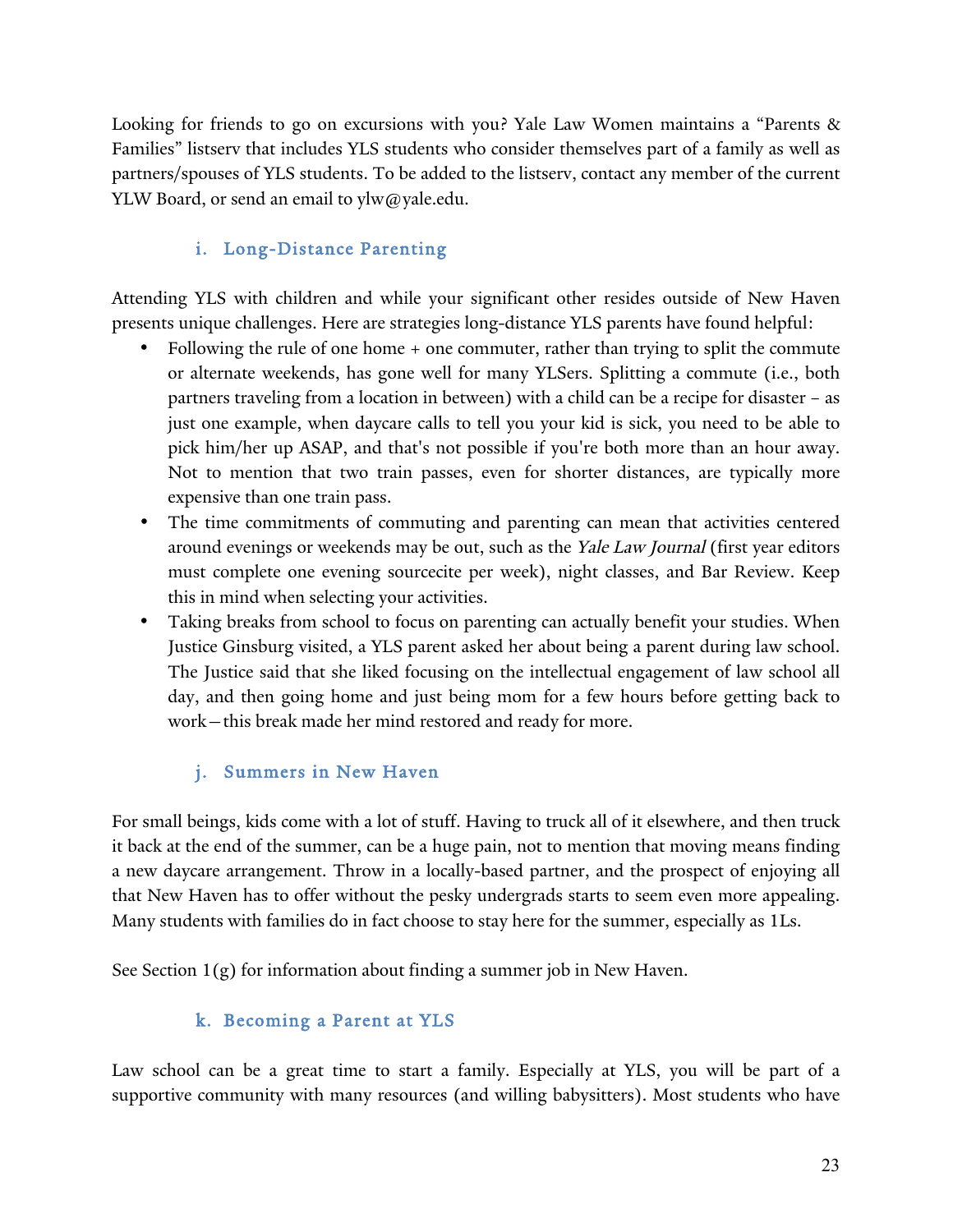Looking for friends to go on excursions with you? Yale Law Women maintains a "Parents & Families" listserv that includes YLS students who consider themselves part of a family as well as partners/spouses of YLS students. To be added to the listserv, contact any member of the current YLW Board, or send an email to ylw@yale.edu.

## i. Long-Distance Parenting

Attending YLS with children and while your significant other resides outside of New Haven presents unique challenges. Here are strategies long-distance YLS parents have found helpful:

- Following the rule of one home + one commuter, rather than trying to split the commute or alternate weekends, has gone well for many YLSers. Splitting a commute (i.e., both partners traveling from a location in between) with a child can be a recipe for disaster – as just one example, when daycare calls to tell you your kid is sick, you need to be able to pick him/her up ASAP, and that's not possible if you're both more than an hour away. Not to mention that two train passes, even for shorter distances, are typically more expensive than one train pass.
- The time commitments of commuting and parenting can mean that activities centered around evenings or weekends may be out, such as the Yale Law Journal (first year editors must complete one evening sourcecite per week), night classes, and Bar Review. Keep this in mind when selecting your activities.
- Taking breaks from school to focus on parenting can actually benefit your studies. When Justice Ginsburg visited, a YLS parent asked her about being a parent during law school. The Justice said that she liked focusing on the intellectual engagement of law school all day, and then going home and just being mom for a few hours before getting back to work—this break made her mind restored and ready for more.

## j. Summers in New Haven

For small beings, kids come with a lot of stuff. Having to truck all of it elsewhere, and then truck it back at the end of the summer, can be a huge pain, not to mention that moving means finding a new daycare arrangement. Throw in a locally-based partner, and the prospect of enjoying all that New Haven has to offer without the pesky undergrads starts to seem even more appealing. Many students with families do in fact choose to stay here for the summer, especially as 1Ls.

See Section 1(g) for information about finding a summer job in New Haven.

## k. Becoming a Parent at YLS

Law school can be a great time to start a family. Especially at YLS, you will be part of a supportive community with many resources (and willing babysitters). Most students who have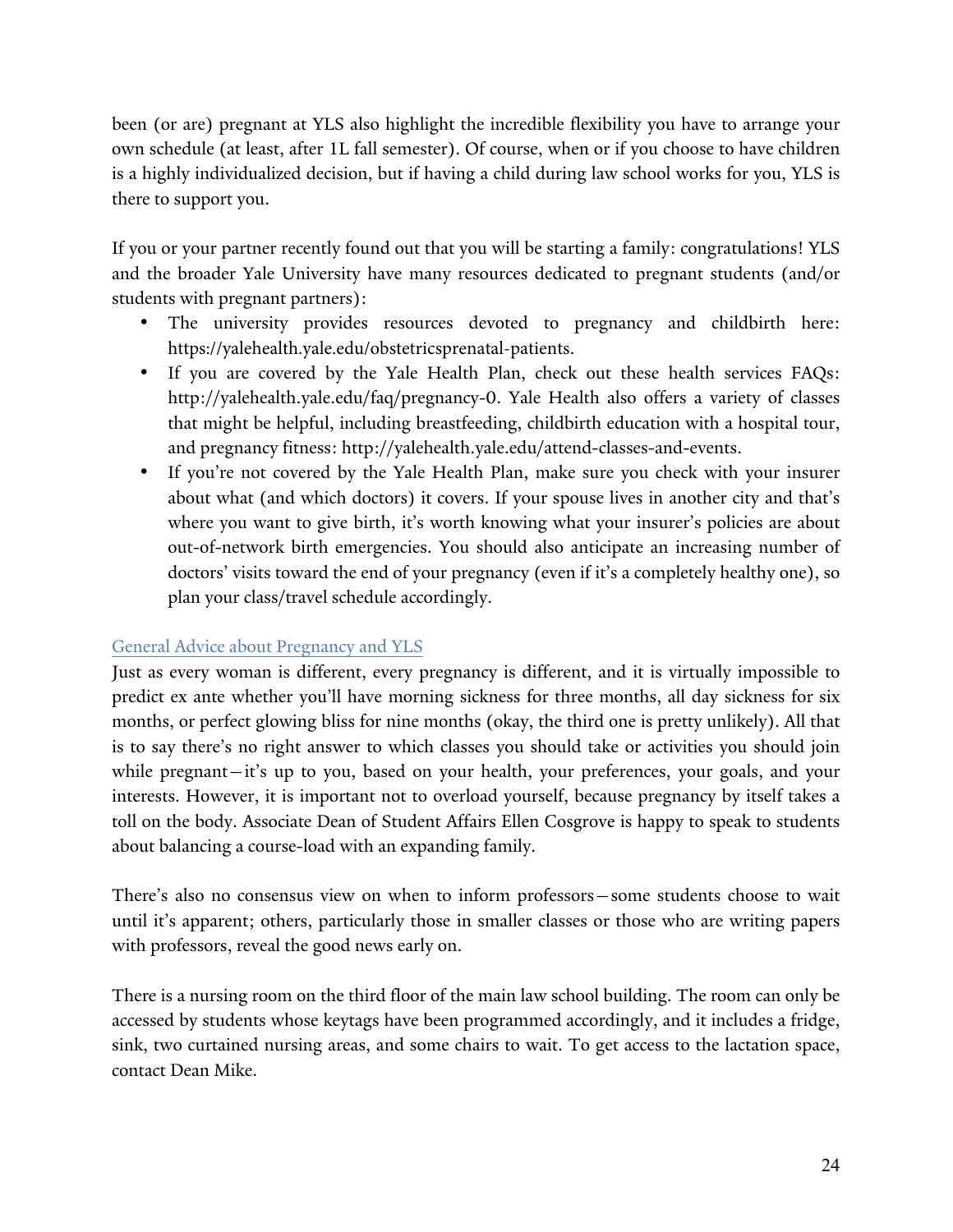been (or are) pregnant at YLS also highlight the incredible flexibility you have to arrange your own schedule (at least, after 1L fall semester). Of course, when or if you choose to have children is a highly individualized decision, but if having a child during law school works for you, YLS is there to support you.

If you or your partner recently found out that you will be starting a family: congratulations! YLS and the broader Yale University have many resources dedicated to pregnant students (and/or students with pregnant partners):

- The university provides resources devoted to pregnancy and childbirth here: https://yalehealth.yale.edu/obstetricsprenatal-patients.
- If you are covered by the Yale Health Plan, check out these health services FAQs: http://yalehealth.yale.edu/faq/pregnancy-0. Yale Health also offers a variety of classes that might be helpful, including breastfeeding, childbirth education with a hospital tour, and pregnancy fitness: http://yalehealth.yale.edu/attend-classes-and-events.
- If you're not covered by the Yale Health Plan, make sure you check with your insurer about what (and which doctors) it covers. If your spouse lives in another city and that's where you want to give birth, it's worth knowing what your insurer's policies are about out-of-network birth emergencies. You should also anticipate an increasing number of doctors' visits toward the end of your pregnancy (even if it's a completely healthy one), so plan your class/travel schedule accordingly.

#### General Advice about Pregnancy and YLS

Just as every woman is different, every pregnancy is different, and it is virtually impossible to predict ex ante whether you'll have morning sickness for three months, all day sickness for six months, or perfect glowing bliss for nine months (okay, the third one is pretty unlikely). All that is to say there's no right answer to which classes you should take or activities you should join while pregnant—it's up to you, based on your health, your preferences, your goals, and your interests. However, it is important not to overload yourself, because pregnancy by itself takes a toll on the body. Associate Dean of Student Affairs Ellen Cosgrove is happy to speak to students about balancing a course-load with an expanding family.

There's also no consensus view on when to inform professors—some students choose to wait until it's apparent; others, particularly those in smaller classes or those who are writing papers with professors, reveal the good news early on.

There is a nursing room on the third floor of the main law school building. The room can only be accessed by students whose keytags have been programmed accordingly, and it includes a fridge, sink, two curtained nursing areas, and some chairs to wait. To get access to the lactation space, contact Dean Mike.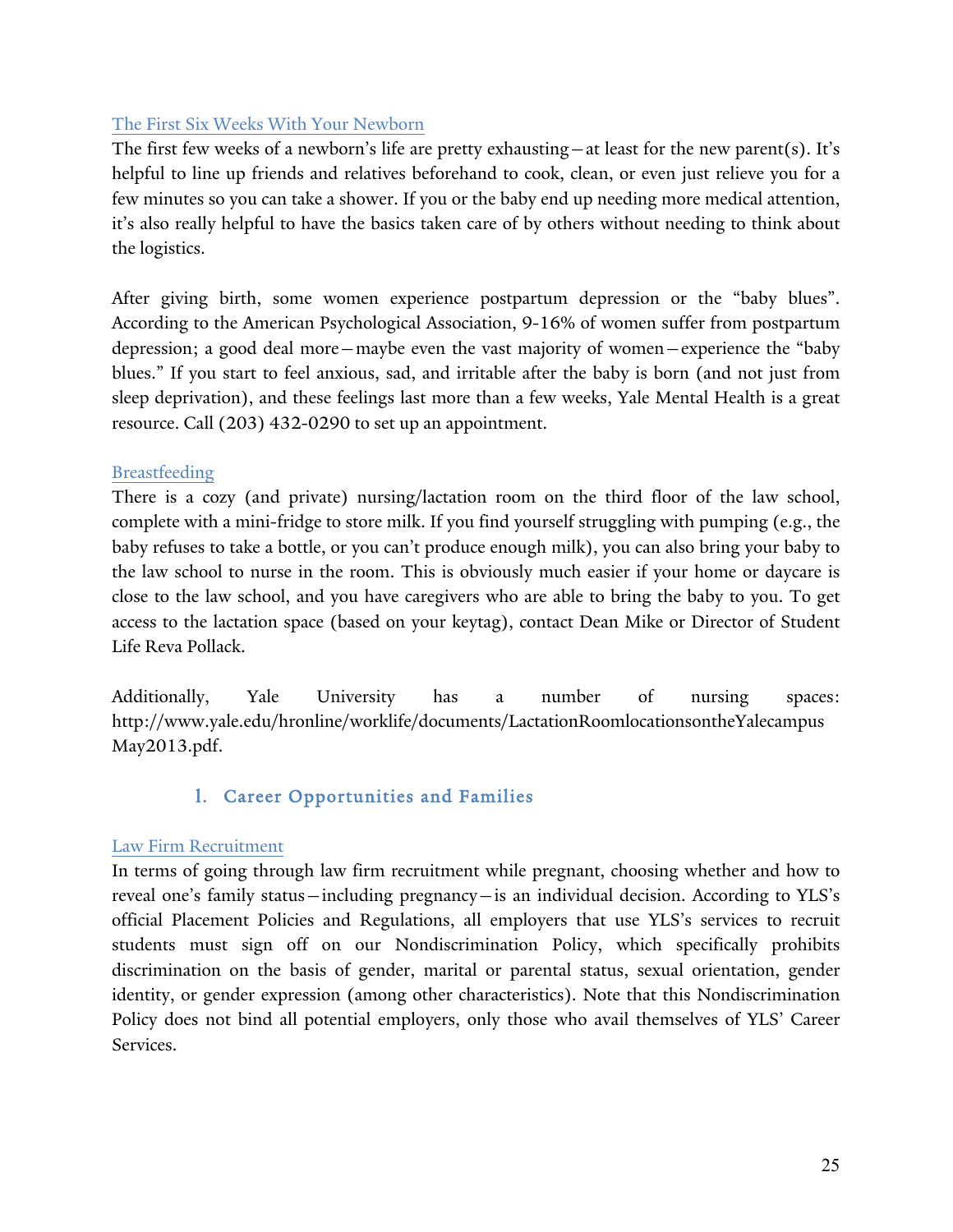#### The First Six Weeks With Your Newborn

The first few weeks of a newborn's life are pretty exhausting—at least for the new parent(s). It's helpful to line up friends and relatives beforehand to cook, clean, or even just relieve you for a few minutes so you can take a shower. If you or the baby end up needing more medical attention, it's also really helpful to have the basics taken care of by others without needing to think about the logistics.

After giving birth, some women experience postpartum depression or the "baby blues". According to the American Psychological Association, 9-16% of women suffer from postpartum depression; a good deal more—maybe even the vast majority of women—experience the "baby blues." If you start to feel anxious, sad, and irritable after the baby is born (and not just from sleep deprivation), and these feelings last more than a few weeks, Yale Mental Health is a great resource. Call (203) 432-0290 to set up an appointment.

#### Breastfeeding

There is a cozy (and private) nursing/lactation room on the third floor of the law school, complete with a mini-fridge to store milk. If you find yourself struggling with pumping (e.g., the baby refuses to take a bottle, or you can't produce enough milk), you can also bring your baby to the law school to nurse in the room. This is obviously much easier if your home or daycare is close to the law school, and you have caregivers who are able to bring the baby to you. To get access to the lactation space (based on your keytag), contact Dean Mike or Director of Student Life Reva Pollack.

Additionally, Yale University has a number of nursing spaces: http://www.yale.edu/hronline/worklife/documents/LactationRoomlocationsontheYalecampus May2013.pdf.

## l. Career Opportunities and Families

#### Law Firm Recruitment

In terms of going through law firm recruitment while pregnant, choosing whether and how to reveal one's family status—including pregnancy—is an individual decision. According to YLS's official Placement Policies and Regulations, all employers that use YLS's services to recruit students must sign off on our Nondiscrimination Policy, which specifically prohibits discrimination on the basis of gender, marital or parental status, sexual orientation, gender identity, or gender expression (among other characteristics). Note that this Nondiscrimination Policy does not bind all potential employers, only those who avail themselves of YLS' Career Services.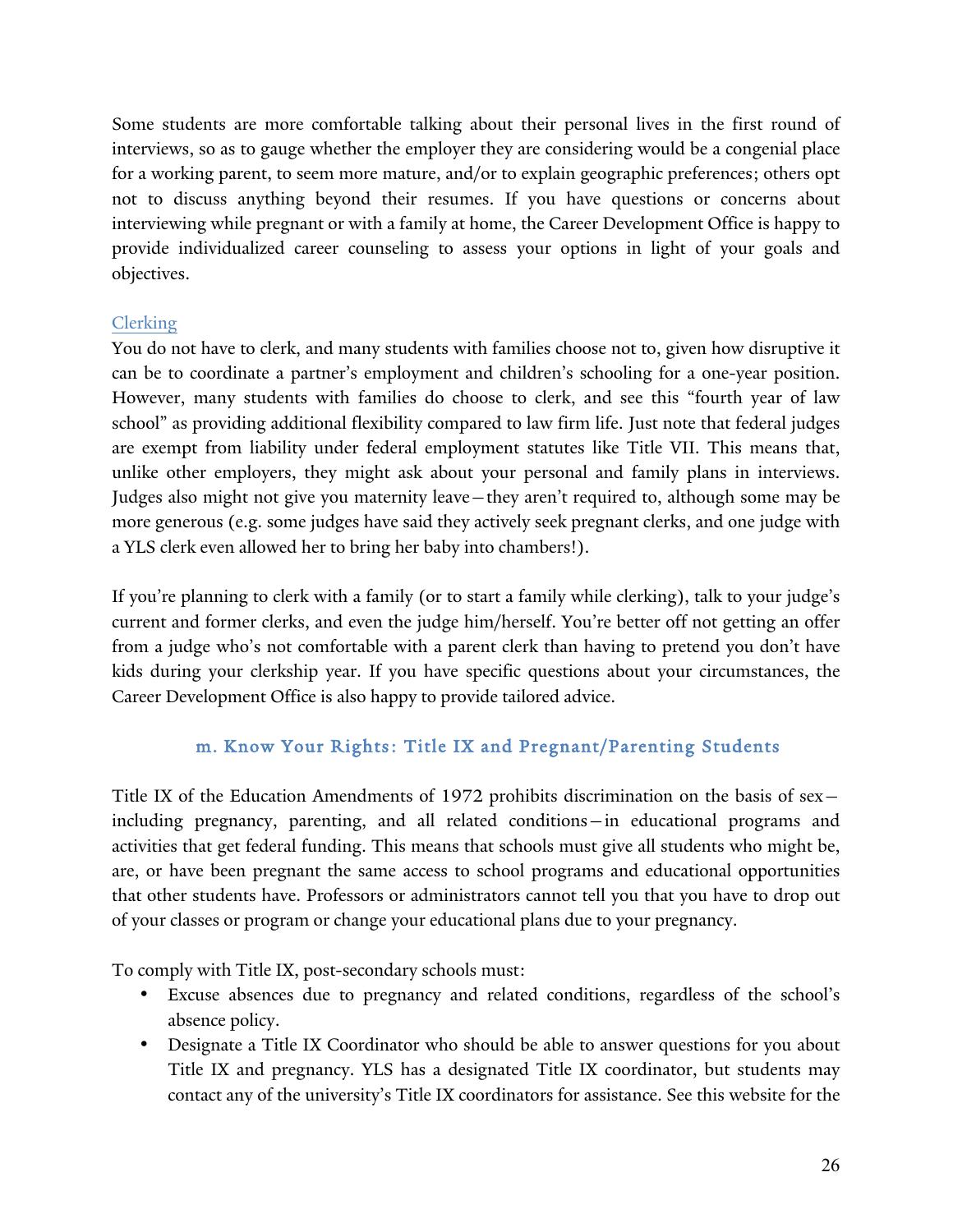Some students are more comfortable talking about their personal lives in the first round of interviews, so as to gauge whether the employer they are considering would be a congenial place for a working parent, to seem more mature, and/or to explain geographic preferences; others opt not to discuss anything beyond their resumes. If you have questions or concerns about interviewing while pregnant or with a family at home, the Career Development Office is happy to provide individualized career counseling to assess your options in light of your goals and objectives.

#### Clerking

You do not have to clerk, and many students with families choose not to, given how disruptive it can be to coordinate a partner's employment and children's schooling for a one-year position. However, many students with families do choose to clerk, and see this "fourth year of law school" as providing additional flexibility compared to law firm life. Just note that federal judges are exempt from liability under federal employment statutes like Title VII. This means that, unlike other employers, they might ask about your personal and family plans in interviews. Judges also might not give you maternity leave—they aren't required to, although some may be more generous (e.g. some judges have said they actively seek pregnant clerks, and one judge with a YLS clerk even allowed her to bring her baby into chambers!).

If you're planning to clerk with a family (or to start a family while clerking), talk to your judge's current and former clerks, and even the judge him/herself. You're better off not getting an offer from a judge who's not comfortable with a parent clerk than having to pretend you don't have kids during your clerkship year. If you have specific questions about your circumstances, the Career Development Office is also happy to provide tailored advice.

#### m. Know Your Rights: Title IX and Pregnant/Parenting Students

Title IX of the Education Amendments of 1972 prohibits discrimination on the basis of sex including pregnancy, parenting, and all related conditions—in educational programs and activities that get federal funding. This means that schools must give all students who might be, are, or have been pregnant the same access to school programs and educational opportunities that other students have. Professors or administrators cannot tell you that you have to drop out of your classes or program or change your educational plans due to your pregnancy.

To comply with Title IX, post-secondary schools must:

- Excuse absences due to pregnancy and related conditions, regardless of the school's absence policy.
- Designate a Title IX Coordinator who should be able to answer questions for you about Title IX and pregnancy. YLS has a designated Title IX coordinator, but students may contact any of the university's Title IX coordinators for assistance. See this website for the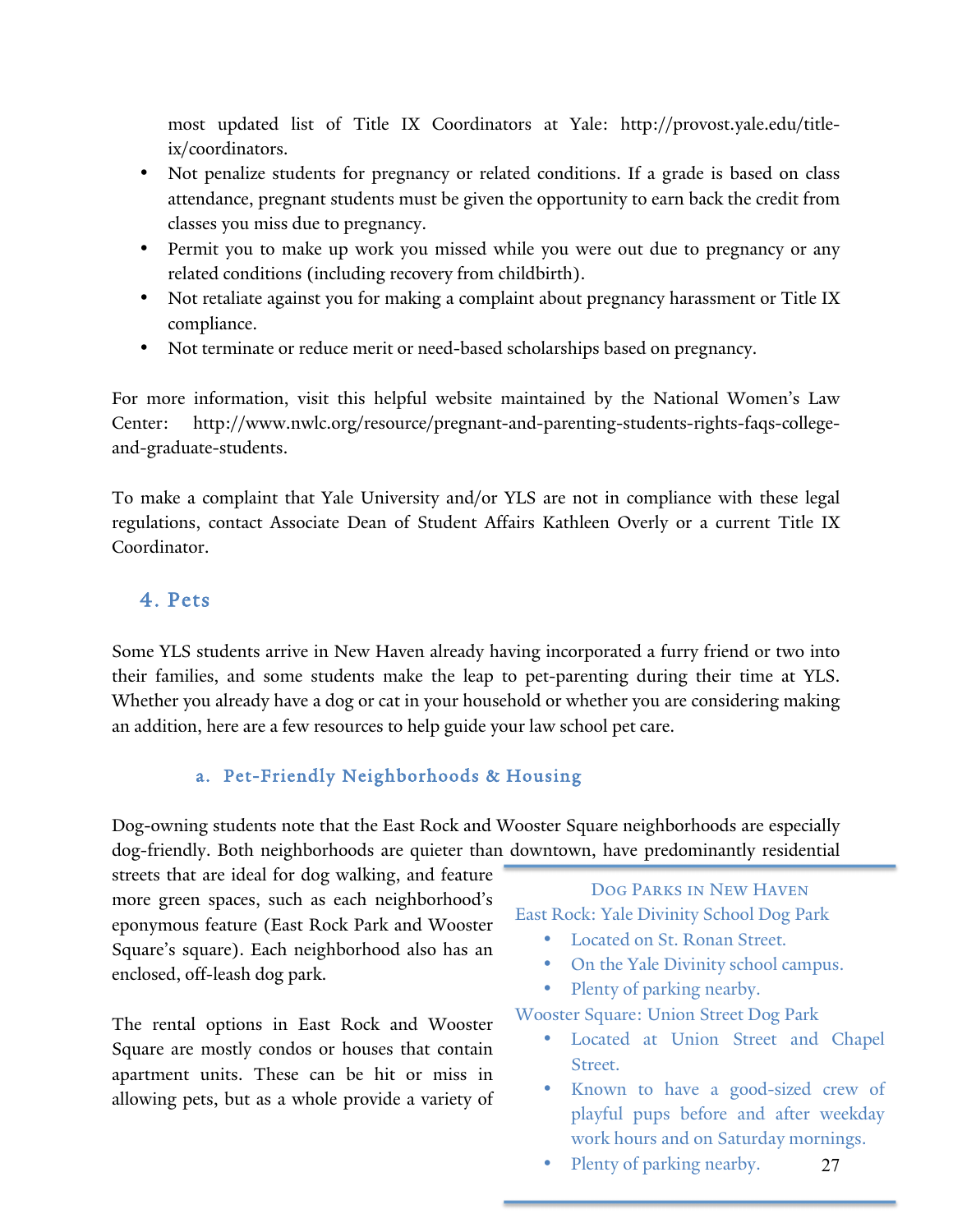most updated list of Title IX Coordinators at Yale: http://provost.yale.edu/titleix/coordinators.

- Not penalize students for pregnancy or related conditions. If a grade is based on class attendance, pregnant students must be given the opportunity to earn back the credit from classes you miss due to pregnancy.
- Permit you to make up work you missed while you were out due to pregnancy or any related conditions (including recovery from childbirth).
- Not retaliate against you for making a complaint about pregnancy harassment or Title IX compliance.
- Not terminate or reduce merit or need-based scholarships based on pregnancy.

For more information, visit this helpful website maintained by the National Women's Law Center: http://www.nwlc.org/resource/pregnant-and-parenting-students-rights-faqs-collegeand-graduate-students.

To make a complaint that Yale University and/or YLS are not in compliance with these legal regulations, contact Associate Dean of Student Affairs Kathleen Overly or a current Title IX Coordinator.

## 4. Pets

Some YLS students arrive in New Haven already having incorporated a furry friend or two into their families, and some students make the leap to pet-parenting during their time at YLS. Whether you already have a dog or cat in your household or whether you are considering making an addition, here are a few resources to help guide your law school pet care.

## a. Pet-Friendly Neighborhoods & Housing

Dog-owning students note that the East Rock and Wooster Square neighborhoods are especially dog-friendly. Both neighborhoods are quieter than downtown, have predominantly residential

streets that are ideal for dog walking, and feature more green spaces, such as each neighborhood's eponymous feature (East Rock Park and Wooster Square's square). Each neighborhood also has an enclosed, off-leash dog park.

The rental options in East Rock and Wooster Square are mostly condos or houses that contain apartment units. These can be hit or miss in allowing pets, but as a whole provide a variety of

## Dog Parks in New Haven East Rock: Yale Divinity School Dog Park

- Located on St. Ronan Street.
- On the Yale Divinity school campus.
- Plenty of parking nearby.

Wooster Square: Union Street Dog Park

- Located at Union Street and Chapel Street.
- Known to have a good-sized crew of playful pups before and after weekday work hours and on Saturday mornings.
- 27 • Plenty of parking nearby.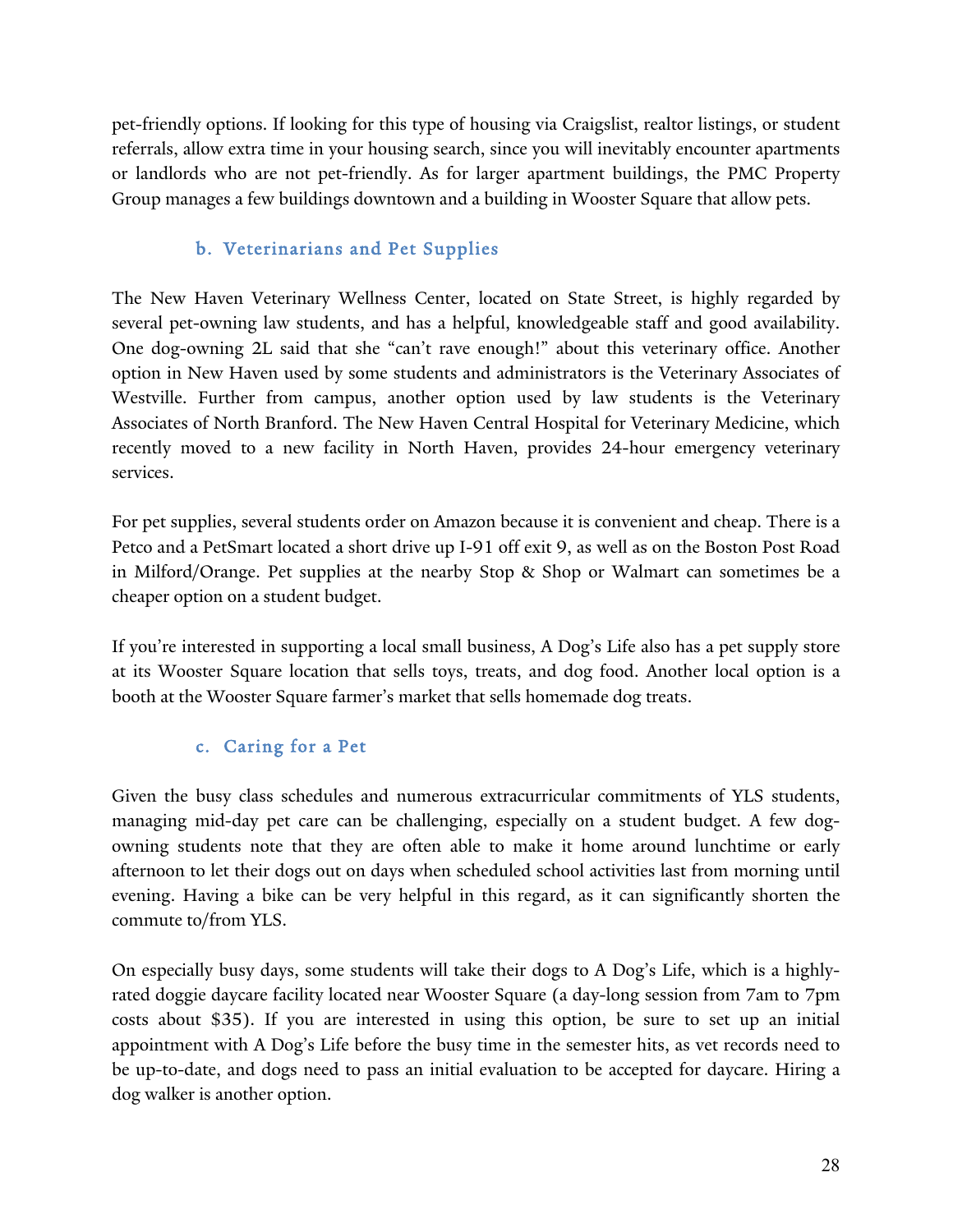pet-friendly options. If looking for this type of housing via Craigslist, realtor listings, or student referrals, allow extra time in your housing search, since you will inevitably encounter apartments or landlords who are not pet-friendly. As for larger apartment buildings, the PMC Property Group manages a few buildings downtown and a building in Wooster Square that allow pets.

## b. Veterinarians and Pet Supplies

The New Haven Veterinary Wellness Center, located on State Street, is highly regarded by several pet-owning law students, and has a helpful, knowledgeable staff and good availability. One dog-owning 2L said that she "can't rave enough!" about this veterinary office. Another option in New Haven used by some students and administrators is the Veterinary Associates of Westville. Further from campus, another option used by law students is the Veterinary Associates of North Branford. The New Haven Central Hospital for Veterinary Medicine, which recently moved to a new facility in North Haven, provides 24-hour emergency veterinary services.

For pet supplies, several students order on Amazon because it is convenient and cheap. There is a Petco and a PetSmart located a short drive up I-91 off exit 9, as well as on the Boston Post Road in Milford/Orange. Pet supplies at the nearby Stop & Shop or Walmart can sometimes be a cheaper option on a student budget.

If you're interested in supporting a local small business, A Dog's Life also has a pet supply store at its Wooster Square location that sells toys, treats, and dog food. Another local option is a booth at the Wooster Square farmer's market that sells homemade dog treats.

## c. Caring for a Pet

Given the busy class schedules and numerous extracurricular commitments of YLS students, managing mid-day pet care can be challenging, especially on a student budget. A few dogowning students note that they are often able to make it home around lunchtime or early afternoon to let their dogs out on days when scheduled school activities last from morning until evening. Having a bike can be very helpful in this regard, as it can significantly shorten the commute to/from YLS.

On especially busy days, some students will take their dogs to A Dog's Life, which is a highlyrated doggie daycare facility located near Wooster Square (a day-long session from 7am to 7pm costs about \$35). If you are interested in using this option, be sure to set up an initial appointment with A Dog's Life before the busy time in the semester hits, as vet records need to be up-to-date, and dogs need to pass an initial evaluation to be accepted for daycare. Hiring a dog walker is another option.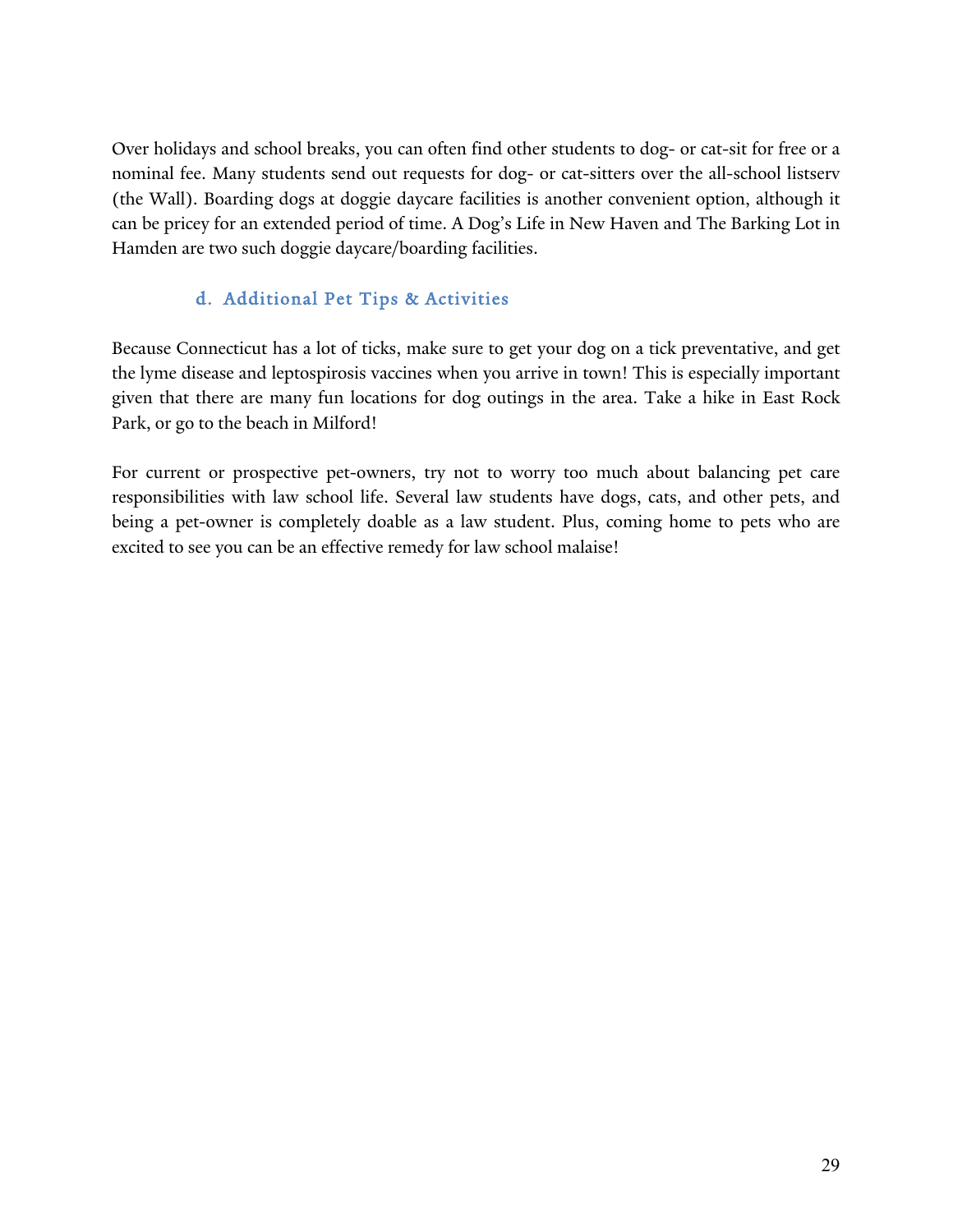Over holidays and school breaks, you can often find other students to dog- or cat-sit for free or a nominal fee. Many students send out requests for dog- or cat-sitters over the all-school listserv (the Wall). Boarding dogs at doggie daycare facilities is another convenient option, although it can be pricey for an extended period of time. A Dog's Life in New Haven and The Barking Lot in Hamden are two such doggie daycare/boarding facilities.

## d. Additional Pet Tips & Activities

Because Connecticut has a lot of ticks, make sure to get your dog on a tick preventative, and get the lyme disease and leptospirosis vaccines when you arrive in town! This is especially important given that there are many fun locations for dog outings in the area. Take a hike in East Rock Park, or go to the beach in Milford!

For current or prospective pet-owners, try not to worry too much about balancing pet care responsibilities with law school life. Several law students have dogs, cats, and other pets, and being a pet-owner is completely doable as a law student. Plus, coming home to pets who are excited to see you can be an effective remedy for law school malaise!